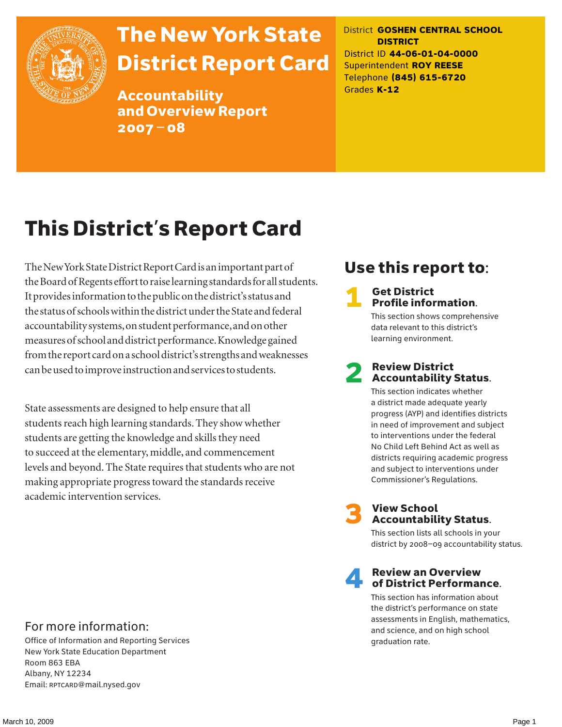

# The New York State District Report Card

Accountability and Overview Report 2007–08

District **GOSHEN CENTRAL SCHOOL DISTRICT** District ID **44-06-01-04-0000** Superintendent **ROY REESE** Telephone **(845) 615-6720** Grades **K-12**

# This District's Report Card

The New York State District Report Card is an important part of the Board of Regents effort to raise learning standards for all students. It provides information to the public on the district's status and the status of schools within the district under the State and federal accountability systems, on student performance, and on other measures of school and district performance. Knowledge gained from the report card on a school district's strengths and weaknesses can be used to improve instruction and services to students.

State assessments are designed to help ensure that all students reach high learning standards. They show whether students are getting the knowledge and skills they need to succeed at the elementary, middle, and commencement levels and beyond. The State requires that students who are not making appropriate progress toward the standards receive academic intervention services.

## Use this report to:

#### **Get District** Profile information.

This section shows comprehensive data relevant to this district's learning environment.

### **Review District** Accountability Status.

This section indicates whether a district made adequate yearly progress (AYP) and identifies districts in need of improvement and subject to interventions under the federal No Child Left Behind Act as well as districts requiring academic progress and subject to interventions under Commissioner's Regulations.



# **3** View School<br>Accountability Status.

This section lists all schools in your district by 2008–09 accountability status.

#### **Review an Overview** of District Performance.

This section has information about the district's performance on state assessments in English, mathematics, and science, and on high school graduation rate.

### For more information:

Office of Information and Reporting Services New York State Education Department Room 863 EBA Albany, NY 12234 Email: RPTCARD@mail.nysed.gov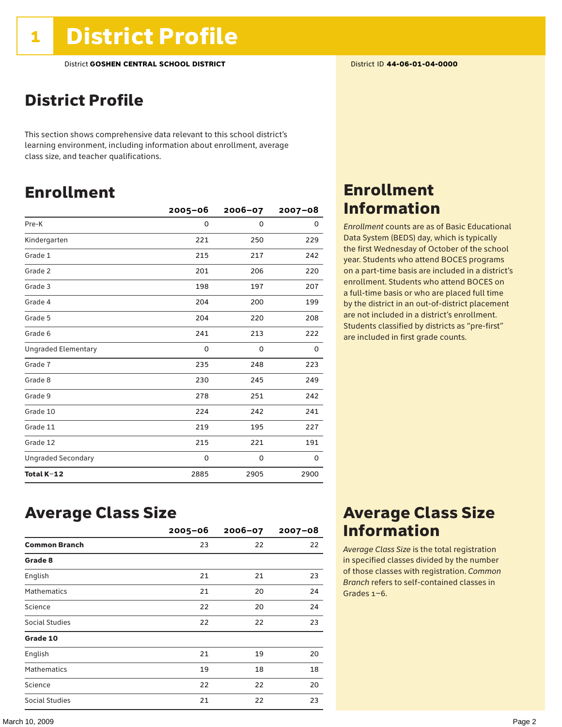### District Profile

This section shows comprehensive data relevant to this school district's learning environment, including information about enrollment, average class size, and teacher qualifications.

### Enrollment

|                            | 2005-06  | $2006 - 07$ | $2007 - 08$ |
|----------------------------|----------|-------------|-------------|
| Pre-K                      | 0        | 0           | 0           |
| Kindergarten               | 221      | 250         | 229         |
| Grade 1                    | 215      | 217         | 242         |
| Grade 2                    | 201      | 206         | 220         |
| Grade 3                    | 198      | 197         | 207         |
| Grade 4                    | 204      | 200         | 199         |
| Grade 5                    | 204      | 220         | 208         |
| Grade 6                    | 241      | 213         | 222         |
| <b>Ungraded Elementary</b> | $\Omega$ | 0           | 0           |
| Grade 7                    | 235      | 248         | 223         |
| Grade 8                    | 230      | 245         | 249         |
| Grade 9                    | 278      | 251         | 242         |
| Grade 10                   | 224      | 242         | 241         |
| Grade 11                   | 219      | 195         | 227         |
| Grade 12                   | 215      | 221         | 191         |
| <b>Ungraded Secondary</b>  | 0        | 0           | 0           |
| Total K-12                 | 2885     | 2905        | 2900        |

### Enrollment Information

*Enrollment* counts are as of Basic Educational Data System (BEDS) day, which is typically the first Wednesday of October of the school year. Students who attend BOCES programs on a part-time basis are included in a district's enrollment. Students who attend BOCES on a full-time basis or who are placed full time by the district in an out-of-district placement are not included in a district's enrollment. Students classified by districts as "pre-first" are included in first grade counts.

### Average Class Size

|                      | $2005 - 06$ | $2006 - 07$ | $2007 - 08$ |
|----------------------|-------------|-------------|-------------|
| <b>Common Branch</b> | 23          | 22          | 22          |
| Grade 8              |             |             |             |
| English              | 21          | 21          | 23          |
| <b>Mathematics</b>   | 21          | 20          | 24          |
| Science              | 22          | 20          | 24          |
| Social Studies       | 22          | 22          | 23          |
| Grade 10             |             |             |             |
| English              | 21          | 19          | 20          |
| <b>Mathematics</b>   | 19          | 18          | 18          |
| Science              | 22          | 22          | 20          |
| Social Studies       | 21          | 22          | 23          |

### Average Class Size Information

*Average Class Size* is the total registration in specified classes divided by the number of those classes with registration. *Common Branch* refers to self-contained classes in Grades 1–6.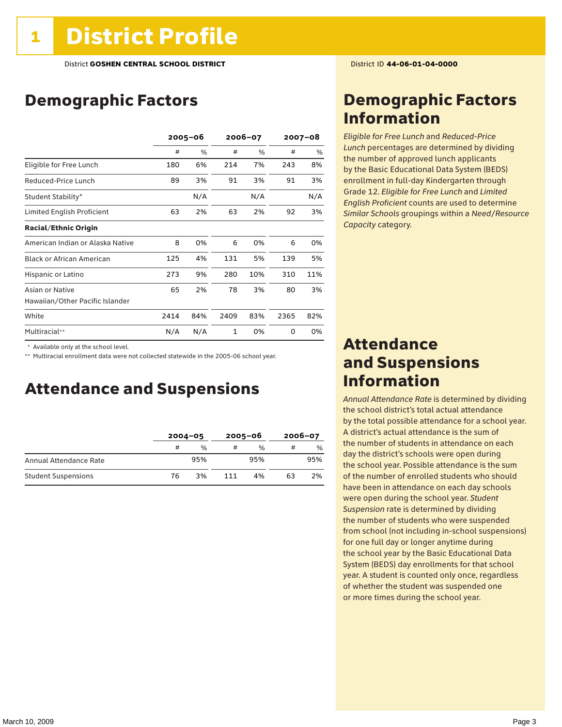### Demographic Factors

|                                  | $2005 - 06$ |     | 2006-07      |     | $2007 - 08$ |     |
|----------------------------------|-------------|-----|--------------|-----|-------------|-----|
|                                  | #           | %   | #            | %   | #           | %   |
| Eligible for Free Lunch          | 180         | 6%  | 214          | 7%  | 243         | 8%  |
| Reduced-Price Lunch              | 89          | 3%  | 91           | 3%  | 91          | 3%  |
| Student Stability*               |             | N/A |              | N/A |             | N/A |
| Limited English Proficient       | 63          | 2%  | 63           | 2%  | 92          | 3%  |
| <b>Racial/Ethnic Origin</b>      |             |     |              |     |             |     |
| American Indian or Alaska Native | 8           | 0%  | 6            | 0%  | 6           | 0%  |
| <b>Black or African American</b> | 125         | 4%  | 131          | 5%  | 139         | 5%  |
| Hispanic or Latino               | 273         | 9%  | 280          | 10% | 310         | 11% |
| Asian or Native                  | 65          | 2%  | 78           | 3%  | 80          | 3%  |
| Hawaiian/Other Pacific Islander  |             |     |              |     |             |     |
| White                            | 2414        | 84% | 2409         | 83% | 2365        | 82% |
| Multiracial**                    | N/A         | N/A | $\mathbf{1}$ | 0%  | 0           | 0%  |

\* Available only at the school level.

\*\* Multiracial enrollment data were not collected statewide in the 2005-06 school year.

### Attendance and Suspensions

|                            | $2004 - 05$ |               | $2005 - 06$ |               | $2006 - 07$ |     |
|----------------------------|-------------|---------------|-------------|---------------|-------------|-----|
|                            | #           | $\frac{0}{0}$ |             | $\frac{0}{0}$ |             | %   |
| Annual Attendance Rate     |             | 95%           |             | 95%           |             | 95% |
| <b>Student Suspensions</b> | 76          | 3%            | 111         | 4%            | 63          | 2%  |

### Demographic Factors Information

*Eligible for Free Lunch* and *Reduced*-*Price Lunch* percentages are determined by dividing the number of approved lunch applicants by the Basic Educational Data System (BEDS) enrollment in full-day Kindergarten through Grade 12. *Eligible for Free Lunch* and *Limited English Proficient* counts are used to determine *Similar Schools* groupings within a *Need*/*Resource Capacity* category.

### Attendance and Suspensions Information

*Annual Attendance Rate* is determined by dividing the school district's total actual attendance by the total possible attendance for a school year. A district's actual attendance is the sum of the number of students in attendance on each day the district's schools were open during the school year. Possible attendance is the sum of the number of enrolled students who should have been in attendance on each day schools were open during the school year. *Student Suspension* rate is determined by dividing the number of students who were suspended from school (not including in-school suspensions) for one full day or longer anytime during the school year by the Basic Educational Data System (BEDS) day enrollments for that school year. A student is counted only once, regardless of whether the student was suspended one or more times during the school year.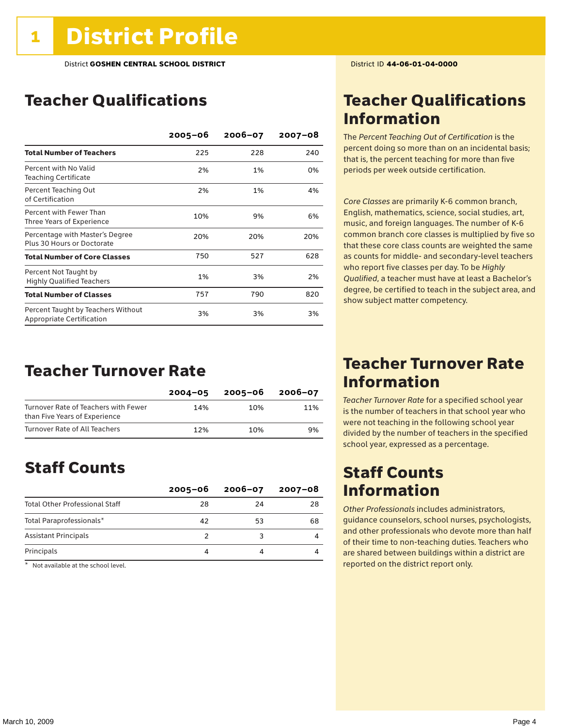### Teacher Qualifications

|                                                                 | $2005 - 06$ | $2006 - 07$ | $2007 - 08$ |
|-----------------------------------------------------------------|-------------|-------------|-------------|
| <b>Total Number of Teachers</b>                                 | 225         | 228         | 240         |
| Percent with No Valid<br><b>Teaching Certificate</b>            | 2%          | 1%          | 0%          |
| Percent Teaching Out<br>of Certification                        | 2%          | 1%          | 4%          |
| Percent with Fewer Than<br>Three Years of Experience            | 10%         | 9%          | 6%          |
| Percentage with Master's Degree<br>Plus 30 Hours or Doctorate   | 20%         | 20%         | 20%         |
| <b>Total Number of Core Classes</b>                             | 750         | 527         | 628         |
| Percent Not Taught by<br><b>Highly Qualified Teachers</b>       | 1%          | 3%          | 2%          |
| <b>Total Number of Classes</b>                                  | 757         | 790         | 820         |
| Percent Taught by Teachers Without<br>Appropriate Certification | 3%          | 3%          | 3%          |

### Teacher Turnover Rate

|                                                                       | $2004 - 05$ | 2005-06 | 2006-07 |
|-----------------------------------------------------------------------|-------------|---------|---------|
| Turnover Rate of Teachers with Fewer<br>than Five Years of Experience | 14%         | 10%     | 11%     |
| Turnover Rate of All Teachers                                         | 12%         | 10%     | 9%      |

### Staff Counts

|                                       | $2005 - 06$ | $2006 - 07$ | 2007-08 |
|---------------------------------------|-------------|-------------|---------|
| <b>Total Other Professional Staff</b> | 28          | 24          | 28      |
| Total Paraprofessionals*              | 42          | 53          | 68      |
| <b>Assistant Principals</b>           |             |             |         |
| Principals                            |             |             |         |

 $*$  Not available at the school level.

### Teacher Qualifications Information

The *Percent Teaching Out of Certification* is the percent doing so more than on an incidental basis; that is, the percent teaching for more than five periods per week outside certification.

*Core Classes* are primarily K-6 common branch, English, mathematics, science, social studies, art, music, and foreign languages. The number of K-6 common branch core classes is multiplied by five so that these core class counts are weighted the same as counts for middle- and secondary-level teachers who report five classes per day. To be *Highly Qualified*, a teacher must have at least a Bachelor's degree, be certified to teach in the subject area, and show subject matter competency.

### Teacher Turnover Rate Information

*Teacher Turnover Rate* for a specified school year is the number of teachers in that school year who were not teaching in the following school year divided by the number of teachers in the specified school year, expressed as a percentage.

### Staff Counts Information

*Other Professionals* includes administrators, guidance counselors, school nurses, psychologists, and other professionals who devote more than half of their time to non-teaching duties. Teachers who are shared between buildings within a district are reported on the district report only.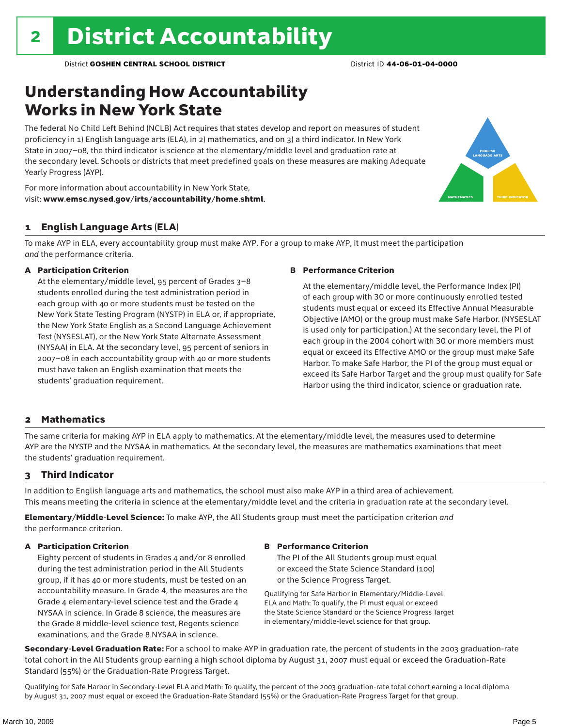### Understanding How Accountability Works in New York State

The federal No Child Left Behind (NCLB) Act requires that states develop and report on measures of student proficiency in 1) English language arts (ELA), in 2) mathematics, and on 3) a third indicator. In New York State in 2007–08, the third indicator is science at the elementary/middle level and graduation rate at the secondary level. Schools or districts that meet predefined goals on these measures are making Adequate Yearly Progress (AYP).



For more information about accountability in New York State, visit: www.emsc.nysed.gov/irts/accountability/home.shtml.

#### 1 English Language Arts (ELA)

To make AYP in ELA, every accountability group must make AYP. For a group to make AYP, it must meet the participation *and* the performance criteria.

#### A Participation Criterion

At the elementary/middle level, 95 percent of Grades 3–8 students enrolled during the test administration period in each group with 40 or more students must be tested on the New York State Testing Program (NYSTP) in ELA or, if appropriate, the New York State English as a Second Language Achievement Test (NYSESLAT), or the New York State Alternate Assessment (NYSAA) in ELA. At the secondary level, 95 percent of seniors in 2007–08 in each accountability group with 40 or more students must have taken an English examination that meets the students' graduation requirement.

#### B Performance Criterion

At the elementary/middle level, the Performance Index (PI) of each group with 30 or more continuously enrolled tested students must equal or exceed its Effective Annual Measurable Objective (AMO) or the group must make Safe Harbor. (NYSESLAT is used only for participation.) At the secondary level, the PI of each group in the 2004 cohort with 30 or more members must equal or exceed its Effective AMO or the group must make Safe Harbor. To make Safe Harbor, the PI of the group must equal or exceed its Safe Harbor Target and the group must qualify for Safe Harbor using the third indicator, science or graduation rate.

#### 2 Mathematics

The same criteria for making AYP in ELA apply to mathematics. At the elementary/middle level, the measures used to determine AYP are the NYSTP and the NYSAA in mathematics. At the secondary level, the measures are mathematics examinations that meet the students' graduation requirement.

#### 3 Third Indicator

In addition to English language arts and mathematics, the school must also make AYP in a third area of achievement. This means meeting the criteria in science at the elementary/middle level and the criteria in graduation rate at the secondary level.

Elementary/Middle-Level Science: To make AYP, the All Students group must meet the participation criterion *and* the performance criterion.

#### A Participation Criterion

Eighty percent of students in Grades 4 and/or 8 enrolled during the test administration period in the All Students group, if it has 40 or more students, must be tested on an accountability measure. In Grade 4, the measures are the Grade 4 elementary-level science test and the Grade 4 NYSAA in science. In Grade 8 science, the measures are the Grade 8 middle-level science test, Regents science examinations, and the Grade 8 NYSAA in science.

#### B Performance Criterion

The PI of the All Students group must equal or exceed the State Science Standard (100) or the Science Progress Target.

Qualifying for Safe Harbor in Elementary/Middle-Level ELA and Math: To qualify, the PI must equal or exceed the State Science Standard or the Science Progress Target in elementary/middle-level science for that group.

Secondary-Level Graduation Rate: For a school to make AYP in graduation rate, the percent of students in the 2003 graduation-rate total cohort in the All Students group earning a high school diploma by August 31, 2007 must equal or exceed the Graduation-Rate Standard (55%) or the Graduation-Rate Progress Target.

Qualifying for Safe Harbor in Secondary-Level ELA and Math: To qualify, the percent of the 2003 graduation-rate total cohort earning a local diploma by August 31, 2007 must equal or exceed the Graduation-Rate Standard (55%) or the Graduation-Rate Progress Target for that group.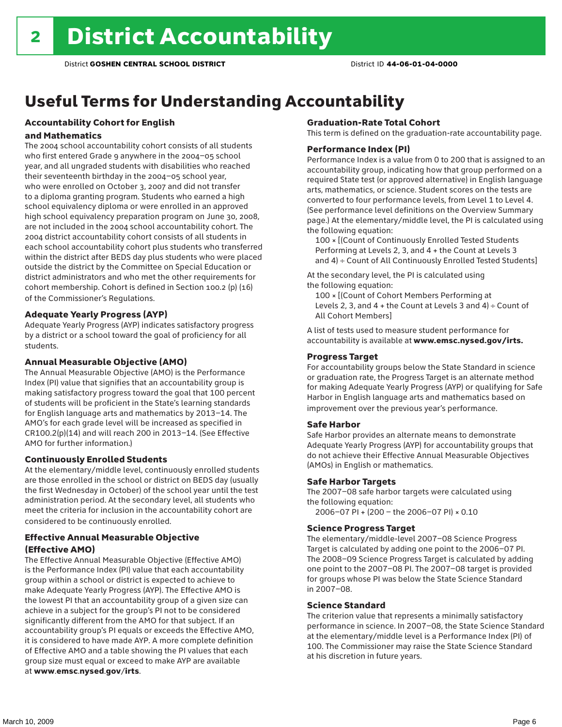## Useful Terms for Understanding Accountability

### Accountability Cohort for English

#### and Mathematics

The 2004 school accountability cohort consists of all students who first entered Grade 9 anywhere in the 2004–05 school year, and all ungraded students with disabilities who reached their seventeenth birthday in the 2004–05 school year, who were enrolled on October 3, 2007 and did not transfer to a diploma granting program. Students who earned a high school equivalency diploma or were enrolled in an approved high school equivalency preparation program on June 30, 2008, are not included in the 2004 school accountability cohort. The 2004 district accountability cohort consists of all students in each school accountability cohort plus students who transferred within the district after BEDS day plus students who were placed outside the district by the Committee on Special Education or district administrators and who met the other requirements for cohort membership. Cohort is defined in Section 100.2 (p) (16) of the Commissioner's Regulations.

#### Adequate Yearly Progress (AYP)

Adequate Yearly Progress (AYP) indicates satisfactory progress by a district or a school toward the goal of proficiency for all students.

#### Annual Measurable Objective (AMO)

The Annual Measurable Objective (AMO) is the Performance Index (PI) value that signifies that an accountability group is making satisfactory progress toward the goal that 100 percent of students will be proficient in the State's learning standards for English language arts and mathematics by 2013–14. The AMO's for each grade level will be increased as specified in CR100.2(p)(14) and will reach 200 in 2013–14. (See Effective AMO for further information.)

#### Continuously Enrolled Students

At the elementary/middle level, continuously enrolled students are those enrolled in the school or district on BEDS day (usually the first Wednesday in October) of the school year until the test administration period. At the secondary level, all students who meet the criteria for inclusion in the accountability cohort are considered to be continuously enrolled.

#### Effective Annual Measurable Objective (Effective AMO)

The Effective Annual Measurable Objective (Effective AMO) is the Performance Index (PI) value that each accountability group within a school or district is expected to achieve to make Adequate Yearly Progress (AYP). The Effective AMO is the lowest PI that an accountability group of a given size can achieve in a subject for the group's PI not to be considered significantly different from the AMO for that subject. If an accountability group's PI equals or exceeds the Effective AMO, it is considered to have made AYP. A more complete definition of Effective AMO and a table showing the PI values that each group size must equal or exceed to make AYP are available at www.emsc.nysed.gov/irts.

#### Graduation-Rate Total Cohort

This term is defined on the graduation-rate accountability page.

#### Performance Index (PI)

Performance Index is a value from 0 to 200 that is assigned to an accountability group, indicating how that group performed on a required State test (or approved alternative) in English language arts, mathematics, or science. Student scores on the tests are converted to four performance levels, from Level 1 to Level 4. (See performance level definitions on the Overview Summary page.) At the elementary/middle level, the PI is calculated using the following equation:

100 × [(Count of Continuously Enrolled Tested Students Performing at Levels 2, 3, and 4 + the Count at Levels 3 and 4) ÷ Count of All Continuously Enrolled Tested Students]

At the secondary level, the PI is calculated using the following equation:

100 × [(Count of Cohort Members Performing at Levels 2, 3, and  $4 +$  the Count at Levels 3 and  $4) \div$  Count of All Cohort Members]

A list of tests used to measure student performance for accountability is available at www.emsc.nysed.gov/irts.

#### Progress Target

For accountability groups below the State Standard in science or graduation rate, the Progress Target is an alternate method for making Adequate Yearly Progress (AYP) or qualifying for Safe Harbor in English language arts and mathematics based on improvement over the previous year's performance.

#### Safe Harbor

Safe Harbor provides an alternate means to demonstrate Adequate Yearly Progress (AYP) for accountability groups that do not achieve their Effective Annual Measurable Objectives (AMOs) in English or mathematics.

#### Safe Harbor Targets

The 2007–08 safe harbor targets were calculated using the following equation:

2006–07 PI + (200 – the 2006–07 PI) × 0.10

#### Science Progress Target

The elementary/middle-level 2007–08 Science Progress Target is calculated by adding one point to the 2006–07 PI. The 2008–09 Science Progress Target is calculated by adding one point to the 2007–08 PI. The 2007–08 target is provided for groups whose PI was below the State Science Standard in 2007–08.

#### Science Standard

The criterion value that represents a minimally satisfactory performance in science. In 2007–08, the State Science Standard at the elementary/middle level is a Performance Index (PI) of 100. The Commissioner may raise the State Science Standard at his discretion in future years.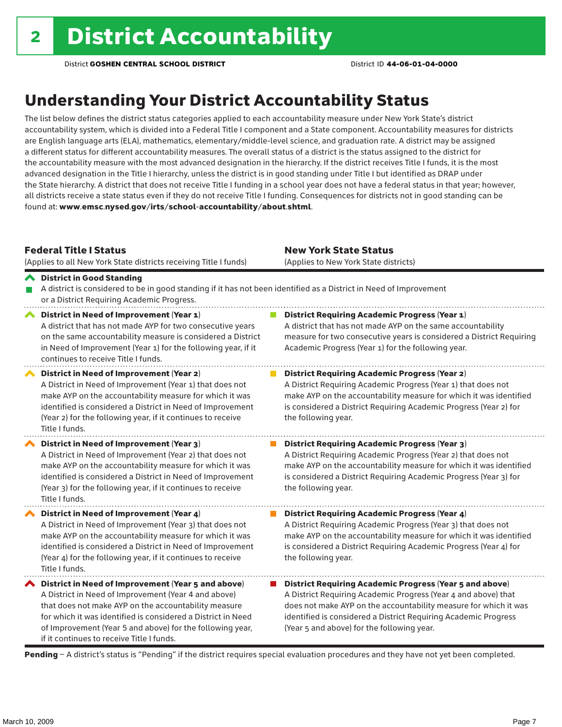## Understanding Your District Accountability Status

The list below defines the district status categories applied to each accountability measure under New York State's district accountability system, which is divided into a Federal Title I component and a State component. Accountability measures for districts are English language arts (ELA), mathematics, elementary/middle-level science, and graduation rate. A district may be assigned a different status for different accountability measures. The overall status of a district is the status assigned to the district for the accountability measure with the most advanced designation in the hierarchy. If the district receives Title I funds, it is the most advanced designation in the Title I hierarchy, unless the district is in good standing under Title I but identified as DRAP under the State hierarchy. A district that does not receive Title I funding in a school year does not have a federal status in that year; however, all districts receive a state status even if they do not receive Title I funding. Consequences for districts not in good standing can be found at: www.emsc.nysed.gov/irts/school-accountability/about.shtml.

#### Federal Title I Status

(Applies to all New York State districts receiving Title I funds)

of Improvement (Year 5 and above) for the following year,

if it continues to receive Title I funds.

New York State Status (Applies to New York State districts)

(Year 5 and above) for the following year.

#### District in Good Standing A district is considered to be in good standing if it has not been identified as a District in Need of Improvement or a District Requiring Academic Progress. ◆ District in Need of Improvement (Year 1) **District Requiring Academic Progress (Year 1)** A district that has not made AYP for two consecutive years A district that has not made AYP on the same accountability measure for two consecutive years is considered a District Requiring on the same accountability measure is considered a District in Need of Improvement (Year 1) for the following year, if it Academic Progress (Year 1) for the following year.

continues to receive Title I funds. District in Need of Improvement (Year 2) **District Requiring Academic Progress (Year 2)** A District in Need of Improvement (Year 1) that does not A District Requiring Academic Progress (Year 1) that does not make AYP on the accountability measure for which it was make AYP on the accountability measure for which it was identified identified is considered a District in Need of Improvement is considered a District Requiring Academic Progress (Year 2) for (Year 2) for the following year, if it continues to receive the following year. Title I funds. District in Need of Improvement (Year 3)  $\mathcal{L}_{\mathcal{A}}$ District Requiring Academic Progress (Year 3) A District in Need of Improvement (Year 2) that does not A District Requiring Academic Progress (Year 2) that does not make AYP on the accountability measure for which it was make AYP on the accountability measure for which it was identified identified is considered a District in Need of Improvement is considered a District Requiring Academic Progress (Year 3) for (Year 3) for the following year, if it continues to receive the following year. Title I funds. ◆ District in Need of Improvement (Year 4) **District Requiring Academic Progress (Year 4)** A District in Need of Improvement (Year 3) that does not A District Requiring Academic Progress (Year 3) that does not make AYP on the accountability measure for which it was make AYP on the accountability measure for which it was identified identified is considered a District in Need of Improvement is considered a District Requiring Academic Progress (Year 4) for (Year 4) for the following year, if it continues to receive the following year. Title I funds.  $\blacktriangle$  District in Need of Improvement (Year 5 and above) ■ District Requiring Academic Progress (Year 5 and above) A District in Need of Improvement (Year 4 and above) A District Requiring Academic Progress (Year 4 and above) that that does not make AYP on the accountability measure does not make AYP on the accountability measure for which it was for which it was identified is considered a District in Need identified is considered a District Requiring Academic Progress

Pending - A district's status is "Pending" if the district requires special evaluation procedures and they have not yet been completed.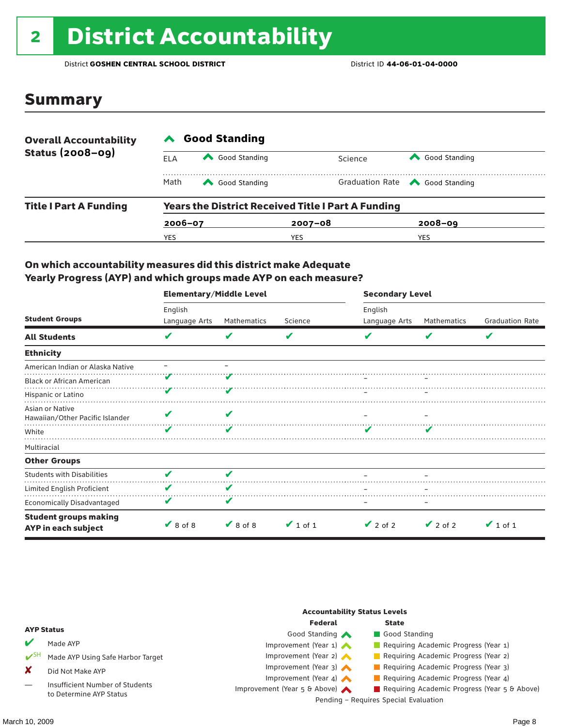# <sup>2</sup> District Accountability

District **GOSHEN CENTRAL SCHOOL DISTRICT** District ID **44-06-01-04-0000**

### Summary

| <b>Overall Accountability</b><br><b>Status (2008-09)</b> | <b>Good Standing</b> |               |                                                           |                                       |  |  |  |
|----------------------------------------------------------|----------------------|---------------|-----------------------------------------------------------|---------------------------------------|--|--|--|
|                                                          | ELA                  | Good Standing | Science                                                   | Good Standing                         |  |  |  |
|                                                          | Math                 | Good Standing |                                                           | Graduation Rate <a> Good Standing</a> |  |  |  |
| <b>Title I Part A Funding</b>                            |                      |               | <b>Years the District Received Title I Part A Funding</b> |                                       |  |  |  |
|                                                          | $2006 - 07$          |               | $2007 - 08$                                               | $2008 - 09$                           |  |  |  |
|                                                          | YES                  |               | YES                                                       | YES                                   |  |  |  |

#### On which accountability measures did this district make Adequate Yearly Progress (AYP) and which groups made AYP on each measure?

|                                                     | <b>Elementary/Middle Level</b> |               |               | <b>Secondary Level</b> |               |                        |  |
|-----------------------------------------------------|--------------------------------|---------------|---------------|------------------------|---------------|------------------------|--|
|                                                     | English                        |               |               | English                |               |                        |  |
| <b>Student Groups</b>                               | Language Arts                  | Mathematics   | Science       | Language Arts          | Mathematics   | <b>Graduation Rate</b> |  |
| <b>All Students</b>                                 | v                              | V             | V             |                        | V             | V                      |  |
| <b>Ethnicity</b>                                    |                                |               |               |                        |               |                        |  |
| American Indian or Alaska Native                    |                                |               |               |                        |               |                        |  |
| <b>Black or African American</b>                    |                                |               |               |                        |               |                        |  |
| Hispanic or Latino                                  |                                |               |               |                        |               |                        |  |
| Asian or Native<br>Hawaiian/Other Pacific Islander  |                                |               |               |                        |               |                        |  |
| White                                               |                                | V             |               |                        |               |                        |  |
| Multiracial                                         |                                |               |               |                        |               |                        |  |
| <b>Other Groups</b>                                 |                                |               |               |                        |               |                        |  |
| <b>Students with Disabilities</b>                   |                                |               |               |                        |               |                        |  |
| Limited English Proficient                          | v                              | v             |               |                        |               |                        |  |
| Economically Disadvantaged                          | V                              | V             |               |                        |               |                        |  |
| <b>Student groups making</b><br>AYP in each subject | $\vee$ 8 of 8                  | $\vee$ 8 of 8 | $\vee$ 1 of 1 | $\vee$ 2 of 2          | $\vee$ 2 of 2 | $\vee$ 1 of 1          |  |

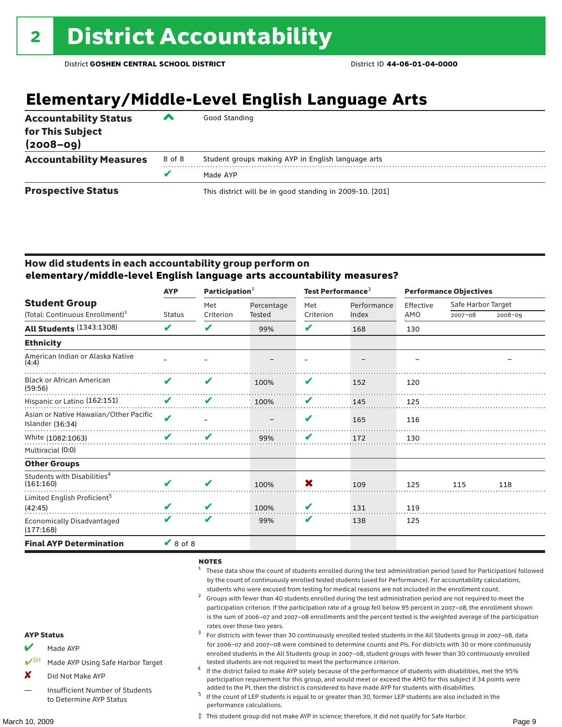## **Elementary/Middle-Level English Language Arts**

| <b>Accountability Status</b><br>for This Subject<br>$(2008 - 09)$ | ▰      | Good Standing                                            |
|-------------------------------------------------------------------|--------|----------------------------------------------------------|
| <b>Accountability Measures</b>                                    | 8 of 8 | Student groups making AYP in English language arts       |
|                                                                   |        | Made AYP                                                 |
| <b>Prospective Status</b>                                         |        | This district will be in good standing in 2009-10. [201] |

#### How did students in each accountability group perform on **elementary/middle-level English language arts accountability measures?**

|                                                            | <b>AYP</b>    | Participation $2$ |            | Test Performance <sup>3</sup> |             | <b>Performance Objectives</b> |                    |             |
|------------------------------------------------------------|---------------|-------------------|------------|-------------------------------|-------------|-------------------------------|--------------------|-------------|
| <b>Student Group</b>                                       |               | Met               | Percentage | Met                           | Performance | Effective                     | Safe Harbor Target |             |
| (Total: Continuous Enrollment) <sup>1</sup>                | <b>Status</b> | Criterion         | Tested     | Criterion                     | Index       | AMO                           | $2007 - 08$        | $2008 - 09$ |
| <b>All Students (1343:1308)</b>                            | V             | V                 | 99%        | V                             | 168         | 130                           |                    |             |
| <b>Ethnicity</b>                                           |               |                   |            |                               |             |                               |                    |             |
| American Indian or Alaska Native<br>(4:4)                  |               |                   |            |                               |             |                               |                    |             |
| <b>Black or African American</b><br>(59:56)                | ✔             | V                 | 100%       | V                             | 152         | 120                           |                    |             |
| Hispanic or Latino (162:151)                               | V             | V                 | 100%       | V                             | 145         | 125                           |                    |             |
| Asian or Native Hawaiian/Other Pacific<br>Islander (36:34) | V             |                   |            | V                             | 165         | 116                           |                    |             |
| White (1082:1063)                                          | v             | v                 | 99%        | V                             | 172         | 130                           |                    |             |
| Multiracial (0:0)                                          |               |                   |            |                               |             |                               |                    |             |
| <b>Other Groups</b>                                        |               |                   |            |                               |             |                               |                    |             |
| Students with Disabilities <sup>4</sup><br>(161:160)       | V             | V                 | 100%       | X                             | 109         | 125                           | 115                | 118         |
| Limited English Proficient <sup>5</sup><br>(42:45)         |               | V                 | 100%       | V                             | 131         | 119                           |                    |             |
| <b>Economically Disadvantaged</b><br>(177:168)             | ✔             | V                 | 99%        | V                             | 138         | 125                           |                    |             |
| <b>Final AYP Determination</b>                             | $\vee$ 8 of 8 |                   |            |                               |             |                               |                    |             |

#### NOTES

- <sup>1</sup> These data show the count of students enrolled during the test administration period (used for Participation) followed by the count of continuously enrolled tested students (used for Performance). For accountability calculations,
- students who were excused from testing for medical reasons are not included in the enrollment count.<br><sup>2</sup> Groups with fewer than 40 students enrolled during the test administration period are not required to meet the participation criterion. If the participation rate of a group fell below 95 percent in 2007–08, the enrollment shown is the sum of 2006–07 and 2007–08 enrollments and the percent tested is the weighted average of the participation rates over those two years.<br><sup>3</sup> For districts with fewer than 30 continuously enrolled tested students in the All Students group in 2007–08, data

### for 2006–07 and 2007–08 were combined to determine counts and PIs. For districts with 30 or more continuously enrolled students in the All Students group in 2007–08, student groups with fewer than 30 continuously enrolled

- tested students are not required to meet the performance criterion. <sup>4</sup> If the district failed to make AYP solely because of the performance of students with disabilities, met the 95% participation requirement for this group, and would meet or exceed the AMO for this subject if 34 points were
- added to the PI, then the district is considered to have made AYP for students with disabilities.<br><sup>5</sup> If the count of LEP students is equal to or greater than 30, former LEP students are also included in the performance calculations.

‡ This student group did not make AYP in science; therefore, it did not qualify for Safe Harbor.

#### AYP Status

- Made AYP
- Made AYP Using Safe Harbor Target
- X Did Not Make AYP
- Insufficient Number of Students to Determine AYP Status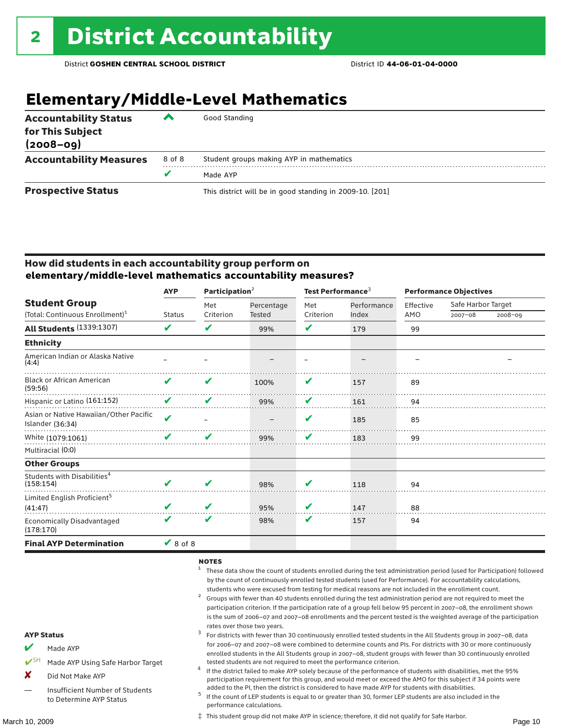### **Elementary/Middle-Level Mathematics**

| <b>Accountability Status</b><br>for This Subject<br>$(2008 - 09)$ | ▰      | Good Standing                                            |
|-------------------------------------------------------------------|--------|----------------------------------------------------------|
| <b>Accountability Measures</b>                                    | 8 of 8 | Student groups making AYP in mathematics                 |
|                                                                   | v      | Made AYP                                                 |
| <b>Prospective Status</b>                                         |        | This district will be in good standing in 2009-10. [201] |

#### How did students in each accountability group perform on **elementary/middle-level mathematics accountability measures?**

|                                                            | <b>AYP</b>                 | Participation $2$ |            | Test Performance <sup>3</sup> |             | <b>Performance Objectives</b> |                    |             |
|------------------------------------------------------------|----------------------------|-------------------|------------|-------------------------------|-------------|-------------------------------|--------------------|-------------|
| <b>Student Group</b>                                       |                            | Met               | Percentage | Met                           | Performance | Effective                     | Safe Harbor Target |             |
| (Total: Continuous Enrollment) <sup>1</sup>                | <b>Status</b>              | Criterion         | Tested     | Criterion                     | Index       | AMO                           | $2007 - 08$        | $2008 - 09$ |
| <b>All Students (1339:1307)</b>                            | V                          | V                 | 99%        | V                             | 179         | 99                            |                    |             |
| <b>Ethnicity</b>                                           |                            |                   |            |                               |             |                               |                    |             |
| American Indian or Alaska Native<br>(4:4)                  |                            |                   |            |                               |             |                               |                    |             |
| <b>Black or African American</b><br>(59:56)                | V                          | V                 | 100%       | V                             | 157         | 89                            |                    |             |
| Hispanic or Latino (161:152)                               | V                          | V                 | 99%        | V                             | 161         | 94                            |                    |             |
| Asian or Native Hawaiian/Other Pacific<br>Islander (36:34) | $\boldsymbol{\mathcal{U}}$ |                   |            | V                             | 185         | 85                            |                    |             |
| White (1079:1061)                                          | $\overline{\mathbf{v}}$    | V                 | 99%        | V                             | 183         | 99                            |                    |             |
| Multiracial (0:0)                                          |                            |                   |            |                               |             |                               |                    |             |
| <b>Other Groups</b>                                        |                            |                   |            |                               |             |                               |                    |             |
| Students with Disabilities <sup>4</sup><br>(158:154)       | ✔                          | V                 | 98%        | v                             | 118         | 94                            |                    |             |
| Limited English Proficient <sup>5</sup><br>(41:47)         |                            | V                 | 95%        | V                             | 147         | 88                            |                    |             |
| <b>Economically Disadvantaged</b><br>(178:170)             | V                          | V                 | 98%        | V                             | 157         | 94                            |                    |             |
| <b>Final AYP Determination</b>                             | $\vee$ 8 of 8              |                   |            |                               |             |                               |                    |             |

#### NOTES

- <sup>1</sup> These data show the count of students enrolled during the test administration period (used for Participation) followed by the count of continuously enrolled tested students (used for Performance). For accountability calculations,
- students who were excused from testing for medical reasons are not included in the enrollment count.<br><sup>2</sup> Groups with fewer than 40 students enrolled during the test administration period are not required to meet the participation criterion. If the participation rate of a group fell below 95 percent in 2007–08, the enrollment shown is the sum of 2006–07 and 2007–08 enrollments and the percent tested is the weighted average of the participation rates over those two years.<br><sup>3</sup> For districts with fewer than 30 continuously enrolled tested students in the All Students group in 2007–08, data

### for 2006–07 and 2007–08 were combined to determine counts and PIs. For districts with 30 or more continuously enrolled students in the All Students group in 2007–08, student groups with fewer than 30 continuously enrolled

- tested students are not required to meet the performance criterion. <sup>4</sup> If the district failed to make AYP solely because of the performance of students with disabilities, met the 95% participation requirement for this group, and would meet or exceed the AMO for this subject if 34 points were
- added to the PI, then the district is considered to have made AYP for students with disabilities.<br> $5$  If the count of LEP students is equal to or greater than 30, former LEP students are also included in the performance calculations.

‡ This student group did not make AYP in science; therefore, it did not qualify for Safe Harbor.

#### AYP Status

- Made AYP
- Made AYP Using Safe Harbor Target
- X Did Not Make AYP
- Insufficient Number of Students to Determine AYP Status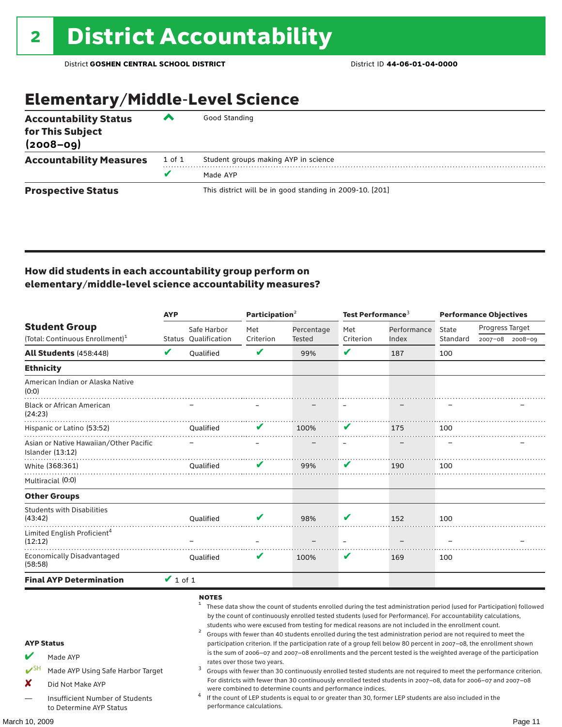### Elementary/Middle-Level Science

| <b>Accountability Status</b><br>for This Subject<br>$(2008 - 09)$ | ◚      | Good Standing                                            |  |  |  |  |  |
|-------------------------------------------------------------------|--------|----------------------------------------------------------|--|--|--|--|--|
| <b>Accountability Measures</b>                                    | 1 of 1 | Student groups making AYP in science                     |  |  |  |  |  |
|                                                                   | v      | Made AYP                                                 |  |  |  |  |  |
| <b>Prospective Status</b>                                         |        | This district will be in good standing in 2009-10. [201] |  |  |  |  |  |

#### How did students in each accountability group perform on elementary/middle-level science accountability measures?

|                                                                                                                                                           | <b>AYP</b>    |                                                   | Participation <sup>2</sup>                               |                                                            | Test Performance <sup>3</sup> |                                                                                                                                                                                                                                                                                                                                                                                                                                                                                                                                                                                                                                                                                                                                                                                                                                                                                                                                                                                                                                                                        | <b>Performance Objectives</b> |                 |                 |
|-----------------------------------------------------------------------------------------------------------------------------------------------------------|---------------|---------------------------------------------------|----------------------------------------------------------|------------------------------------------------------------|-------------------------------|------------------------------------------------------------------------------------------------------------------------------------------------------------------------------------------------------------------------------------------------------------------------------------------------------------------------------------------------------------------------------------------------------------------------------------------------------------------------------------------------------------------------------------------------------------------------------------------------------------------------------------------------------------------------------------------------------------------------------------------------------------------------------------------------------------------------------------------------------------------------------------------------------------------------------------------------------------------------------------------------------------------------------------------------------------------------|-------------------------------|-----------------|-----------------|
| <b>Student Group</b>                                                                                                                                      |               | Safe Harbor                                       | Met                                                      | Percentage                                                 | Met                           | Performance                                                                                                                                                                                                                                                                                                                                                                                                                                                                                                                                                                                                                                                                                                                                                                                                                                                                                                                                                                                                                                                            | <b>State</b>                  | Progress Target |                 |
| (Total: Continuous Enrollment) <sup>1</sup>                                                                                                               |               | Status Oualification                              | Criterion                                                | <b>Tested</b>                                              | Criterion                     | Index                                                                                                                                                                                                                                                                                                                                                                                                                                                                                                                                                                                                                                                                                                                                                                                                                                                                                                                                                                                                                                                                  | Standard                      |                 | 2007-08 2008-09 |
| All Students (458:448)                                                                                                                                    | V             | <b>Oualified</b>                                  | V                                                        | 99%                                                        | V                             | 187                                                                                                                                                                                                                                                                                                                                                                                                                                                                                                                                                                                                                                                                                                                                                                                                                                                                                                                                                                                                                                                                    | 100                           |                 |                 |
| <b>Ethnicity</b>                                                                                                                                          |               |                                                   |                                                          |                                                            |                               |                                                                                                                                                                                                                                                                                                                                                                                                                                                                                                                                                                                                                                                                                                                                                                                                                                                                                                                                                                                                                                                                        |                               |                 |                 |
| American Indian or Alaska Native<br>(0:0)                                                                                                                 |               |                                                   |                                                          |                                                            |                               |                                                                                                                                                                                                                                                                                                                                                                                                                                                                                                                                                                                                                                                                                                                                                                                                                                                                                                                                                                                                                                                                        |                               |                 |                 |
| <b>Black or African American</b><br>(24:23)                                                                                                               |               |                                                   |                                                          |                                                            |                               |                                                                                                                                                                                                                                                                                                                                                                                                                                                                                                                                                                                                                                                                                                                                                                                                                                                                                                                                                                                                                                                                        |                               |                 |                 |
| Hispanic or Latino (53:52)                                                                                                                                |               | Oualified                                         | v                                                        | 100%                                                       | V                             | 175                                                                                                                                                                                                                                                                                                                                                                                                                                                                                                                                                                                                                                                                                                                                                                                                                                                                                                                                                                                                                                                                    | 100                           |                 |                 |
| Asian or Native Hawaiian/Other Pacific<br>Islander (13:12)                                                                                                |               |                                                   |                                                          |                                                            |                               |                                                                                                                                                                                                                                                                                                                                                                                                                                                                                                                                                                                                                                                                                                                                                                                                                                                                                                                                                                                                                                                                        |                               |                 |                 |
| White (368:361)                                                                                                                                           |               | Oualified                                         | v                                                        | 99%                                                        | v                             | 190                                                                                                                                                                                                                                                                                                                                                                                                                                                                                                                                                                                                                                                                                                                                                                                                                                                                                                                                                                                                                                                                    | 100                           |                 |                 |
| Multiracial (0:0)                                                                                                                                         |               |                                                   |                                                          |                                                            |                               |                                                                                                                                                                                                                                                                                                                                                                                                                                                                                                                                                                                                                                                                                                                                                                                                                                                                                                                                                                                                                                                                        |                               |                 |                 |
| <b>Other Groups</b>                                                                                                                                       |               |                                                   |                                                          |                                                            |                               |                                                                                                                                                                                                                                                                                                                                                                                                                                                                                                                                                                                                                                                                                                                                                                                                                                                                                                                                                                                                                                                                        |                               |                 |                 |
| <b>Students with Disabilities</b><br>(43:42)                                                                                                              |               | <b>Oualified</b>                                  |                                                          | 98%                                                        | V                             | 152                                                                                                                                                                                                                                                                                                                                                                                                                                                                                                                                                                                                                                                                                                                                                                                                                                                                                                                                                                                                                                                                    | 100                           |                 |                 |
| Limited English Proficient <sup>4</sup><br>(12:12)                                                                                                        |               |                                                   |                                                          |                                                            |                               |                                                                                                                                                                                                                                                                                                                                                                                                                                                                                                                                                                                                                                                                                                                                                                                                                                                                                                                                                                                                                                                                        |                               |                 |                 |
| <b>Economically Disadvantaged</b><br>(58:58)                                                                                                              |               | Qualified                                         |                                                          | 100%                                                       | V                             | 169                                                                                                                                                                                                                                                                                                                                                                                                                                                                                                                                                                                                                                                                                                                                                                                                                                                                                                                                                                                                                                                                    | 100                           |                 |                 |
| <b>Final AYP Determination</b>                                                                                                                            | $\vee$ 1 of 1 |                                                   |                                                          |                                                            |                               |                                                                                                                                                                                                                                                                                                                                                                                                                                                                                                                                                                                                                                                                                                                                                                                                                                                                                                                                                                                                                                                                        |                               |                 |                 |
| <b>AYP Status</b><br>Made AYP<br>Made AYP Using Safe Harbor Target<br>X<br>Did Not Make AYP<br>Insufficient Number of Students<br>to Determine AYP Status |               | <b>NOTES</b><br>$\overline{\mathbf{c}}$<br>3<br>4 | rates over those two years.<br>performance calculations. | were combined to determine counts and performance indices. |                               | These data show the count of students enrolled during the test administration period (used for Participation) followed<br>by the count of continuously enrolled tested students (used for Performance). For accountability calculations,<br>students who were excused from testing for medical reasons are not included in the enrollment count.<br>Groups with fewer than 40 students enrolled during the test administration period are not required to meet the<br>participation criterion. If the participation rate of a group fell below 80 percent in 2007-08, the enrollment shown<br>is the sum of 2006-07 and 2007-08 enrollments and the percent tested is the weighted average of the participation<br>Groups with fewer than 30 continuously enrolled tested students are not required to meet the performance criterion.<br>For districts with fewer than 30 continuously enrolled tested students in 2007-08, data for 2006-07 and 2007-08<br>If the count of LEP students is equal to or greater than 30, former LEP students are also included in the |                               |                 |                 |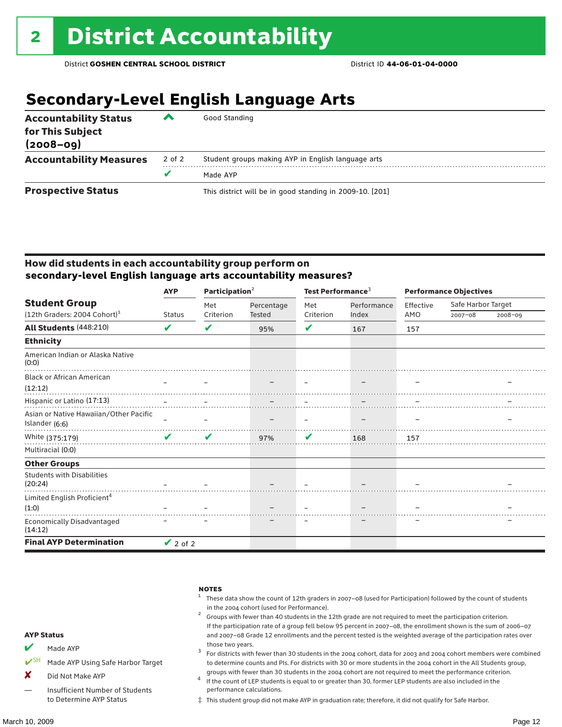### **Secondary-Level English Language Arts**

| <b>Accountability Status</b><br>for This Subject<br>$(2008 - 09)$ | ‴      | Good Standing                                            |
|-------------------------------------------------------------------|--------|----------------------------------------------------------|
| <b>Accountability Measures</b>                                    | 2 of 2 | Student groups making AYP in English language arts       |
|                                                                   | v      | Made AYP                                                 |
| <b>Prospective Status</b>                                         |        | This district will be in good standing in 2009-10. [201] |

#### How did students in each accountability group perform on **secondary-level English language arts accountability measures?**

|                                              | <b>AYP</b>                 |           | Participation <sup>2</sup> |           | Test Performance <sup>3</sup> | <b>Performance Objectives</b> |                    |             |
|----------------------------------------------|----------------------------|-----------|----------------------------|-----------|-------------------------------|-------------------------------|--------------------|-------------|
| <b>Student Group</b>                         |                            | Met       | Percentage<br>Tested       | Met       | Performance                   | Effective                     | Safe Harbor Target |             |
| $(12th$ Graders: 2004 Cohort) <sup>1</sup>   | <b>Status</b>              | Criterion |                            | Criterion | Index                         | AMO                           | $2007 - 08$        | $2008 - 09$ |
| All Students (448:210)                       | ✔                          | V         | 95%                        | ✔         | 167                           | 157                           |                    |             |
| <b>Ethnicity</b>                             |                            |           |                            |           |                               |                               |                    |             |
| American Indian or Alaska Native<br>(0:0)    |                            |           |                            |           |                               |                               |                    |             |
| <b>Black or African American</b>             | $\sim$                     |           |                            |           | $\overline{\phantom{m}}$      |                               |                    |             |
| (12:12)                                      |                            |           |                            |           |                               |                               |                    |             |
| Hispanic or Latino (17:13)                   |                            |           |                            |           |                               |                               |                    |             |
| Asian or Native Hawaiian/Other Pacific       |                            |           |                            |           |                               |                               |                    |             |
| Islander (6:6)                               |                            |           |                            |           |                               |                               |                    |             |
| White (375:179)                              | $\boldsymbol{\mathcal{U}}$ | V         | 97%                        | V         | 168                           | 157                           |                    |             |
| Multiracial (0:0)                            |                            |           |                            |           |                               |                               |                    |             |
| <b>Other Groups</b>                          |                            |           |                            |           |                               |                               |                    |             |
| <b>Students with Disabilities</b><br>(20:24) |                            |           |                            |           |                               |                               |                    |             |
| Limited English Proficient <sup>4</sup>      |                            |           |                            |           |                               |                               |                    |             |
| (1:0)                                        |                            |           |                            |           |                               |                               |                    |             |
| Economically Disadvantaged<br>(14:12)        |                            |           |                            |           |                               |                               |                    |             |
| <b>Final AYP Determination</b>               | $\vee$ 2 of 2              |           |                            |           |                               |                               |                    |             |



‡ This student group did not make AYP in graduation rate; therefore, it did not qualify for Safe Harbor.

to Determine AYP Status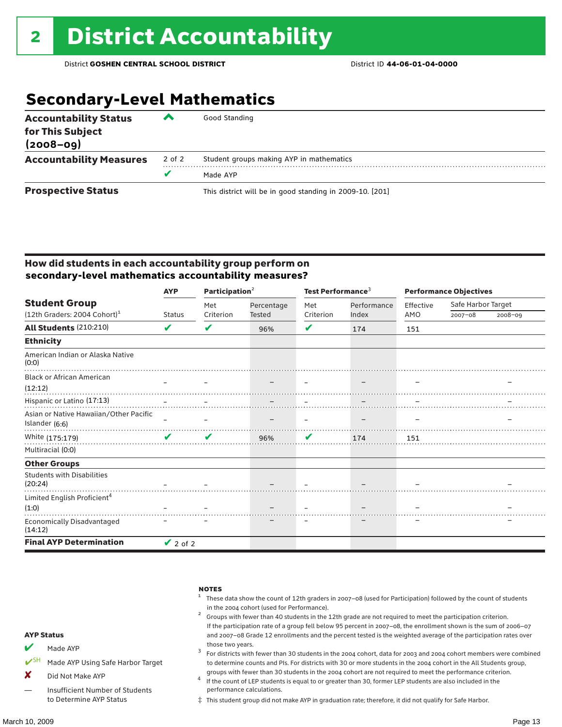### **Secondary-Level Mathematics**

| <b>Accountability Status</b><br>for This Subject<br>$(2008 - 09)$ | ‴      | Good Standing                                            |
|-------------------------------------------------------------------|--------|----------------------------------------------------------|
| <b>Accountability Measures</b>                                    | 2 of 2 | Student groups making AYP in mathematics                 |
|                                                                   |        | Made AYP                                                 |
| <b>Prospective Status</b>                                         |        | This district will be in good standing in 2009-10. [201] |

#### How did students in each accountability group perform on **secondary-level mathematics accountability measures?**

|                                              | <b>AYP</b>    |           | Participation $2$ |           | Test Performance <sup>3</sup> |           | <b>Performance Objectives</b> |             |  |
|----------------------------------------------|---------------|-----------|-------------------|-----------|-------------------------------|-----------|-------------------------------|-------------|--|
| <b>Student Group</b>                         |               | Met       | Percentage        | Met       | Performance                   | Effective | Safe Harbor Target            |             |  |
| $(12th$ Graders: 2004 Cohort) <sup>1</sup>   | <b>Status</b> | Criterion | Tested            | Criterion | Index                         | AMO       | $2007 - 08$                   | $2008 - 09$ |  |
| <b>All Students (210:210)</b>                | V             | ✔         | 96%               | V         | 174                           | 151       |                               |             |  |
| <b>Ethnicity</b>                             |               |           |                   |           |                               |           |                               |             |  |
| American Indian or Alaska Native<br>(0:0)    |               |           |                   |           |                               |           |                               |             |  |
| <b>Black or African American</b>             | $\equiv$      |           |                   |           | $\overline{\phantom{m}}$      |           |                               |             |  |
| (12:12)                                      |               |           |                   |           |                               |           |                               |             |  |
| Hispanic or Latino (17:13)                   |               |           |                   |           |                               |           |                               |             |  |
| Asian or Native Hawaiian/Other Pacific       |               |           |                   |           |                               |           |                               |             |  |
| Islander (6:6)                               |               |           |                   |           |                               |           |                               |             |  |
| White (175:179)                              | $\sqrt{2}$    | V         | 96%               | V         | 174                           | 151       |                               |             |  |
| Multiracial (0:0)                            |               |           |                   |           |                               |           |                               |             |  |
| <b>Other Groups</b>                          |               |           |                   |           |                               |           |                               |             |  |
| <b>Students with Disabilities</b><br>(20:24) |               |           |                   |           |                               |           |                               |             |  |
| Limited English Proficient <sup>4</sup>      |               |           |                   |           |                               |           |                               |             |  |
| (1:0)                                        |               |           |                   |           |                               |           |                               |             |  |
| Economically Disadvantaged<br>(14:12)        |               |           |                   |           |                               |           |                               |             |  |
| <b>Final AYP Determination</b>               | $\vee$ 2 of 2 |           |                   |           |                               |           |                               |             |  |



‡ This student group did not make AYP in graduation rate; therefore, it did not qualify for Safe Harbor.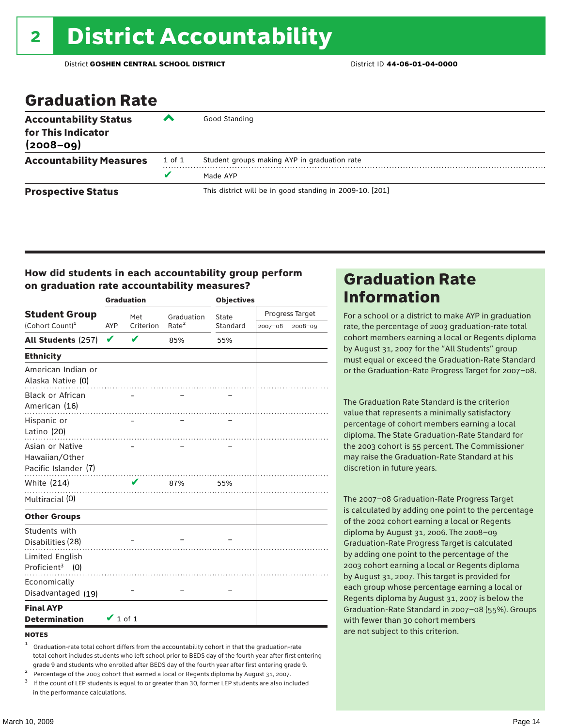### Graduation Rate

| <b>Accountability Status</b><br>for This Indicator<br>$(2008 - 09)$ | ‴      | Good Standing                                            |
|---------------------------------------------------------------------|--------|----------------------------------------------------------|
| <b>Accountability Measures</b>                                      | 1 of 1 | Student groups making AYP in graduation rate             |
|                                                                     | v      | Made AYP                                                 |
| <b>Prospective Status</b>                                           |        | This district will be in good standing in 2009-10. [201] |

#### How did students in each accountability group perform on graduation rate accountability measures?

|                                                           |               | <b>Graduation</b> |                   | <b>Objectives</b> |             |                 |  |
|-----------------------------------------------------------|---------------|-------------------|-------------------|-------------------|-------------|-----------------|--|
| <b>Student Group</b>                                      |               | Met               | Graduation        | State             |             | Progress Target |  |
| (Cohort Count) <sup>1</sup>                               | <b>AYP</b>    | Criterion         | Rate <sup>2</sup> | Standard          | $2007 - 08$ | 2008-09         |  |
| All Students (257)                                        | V             | ✔                 | 85%               | 55%               |             |                 |  |
| <b>Ethnicity</b>                                          |               |                   |                   |                   |             |                 |  |
| American Indian or<br>Alaska Native (0)                   |               |                   |                   |                   |             |                 |  |
| <b>Black or African</b><br>American (16)                  |               |                   |                   |                   |             |                 |  |
| Hispanic or<br>Latino (20)                                |               |                   |                   |                   |             |                 |  |
| Asian or Native<br>Hawaiian/Other<br>Pacific Islander (7) |               |                   | .                 |                   |             |                 |  |
| White (214)                                               |               | V                 | 87%               | 55%               |             |                 |  |
| Multiracial (0)                                           |               |                   |                   |                   |             |                 |  |
| <b>Other Groups</b>                                       |               |                   |                   |                   |             |                 |  |
| Students with<br>Disabilities (28)                        |               |                   |                   |                   |             |                 |  |
| <b>Limited English</b><br>Proficient <sup>3</sup> $(0)$   |               |                   |                   |                   |             |                 |  |
| Economically<br>Disadvantaged (19)                        |               |                   |                   |                   |             |                 |  |
| <b>Final AYP</b><br><b>Determination</b>                  | $\vee$ 1 of 1 |                   |                   |                   |             |                 |  |

#### **NOTES**

- <sup>1</sup> Graduation-rate total cohort differs from the accountability cohort in that the graduation-rate total cohort includes students who left school prior to BEDS day of the fourth year after first entering
- 
- grade 9 and students who enrolled after BEDS day of the fourth year after first entering grade 9.<br>
<sup>2</sup> Percentage of the 2003 cohort that earned a local or Regents diploma by August 31, 2007.<br>
<sup>3</sup> If the count of LEP stud in the performance calculations.

### Graduation Rate Information

For a school or a district to make AYP in graduation rate, the percentage of 2003 graduation-rate total cohort members earning a local or Regents diploma by August 31, 2007 for the "All Students" group must equal or exceed the Graduation-Rate Standard or the Graduation-Rate Progress Target for 2007–08.

The Graduation Rate Standard is the criterion value that represents a minimally satisfactory percentage of cohort members earning a local diploma. The State Graduation-Rate Standard for the 2003 cohort is 55 percent. The Commissioner may raise the Graduation-Rate Standard at his discretion in future years.

The 2007–08 Graduation-Rate Progress Target is calculated by adding one point to the percentage of the 2002 cohort earning a local or Regents diploma by August 31, 2006. The 2008–09 Graduation-Rate Progress Target is calculated by adding one point to the percentage of the 2003 cohort earning a local or Regents diploma by August 31, 2007. This target is provided for each group whose percentage earning a local or Regents diploma by August 31, 2007 is below the Graduation-Rate Standard in 2007–08 (55%). Groups with fewer than 30 cohort members are not subject to this criterion.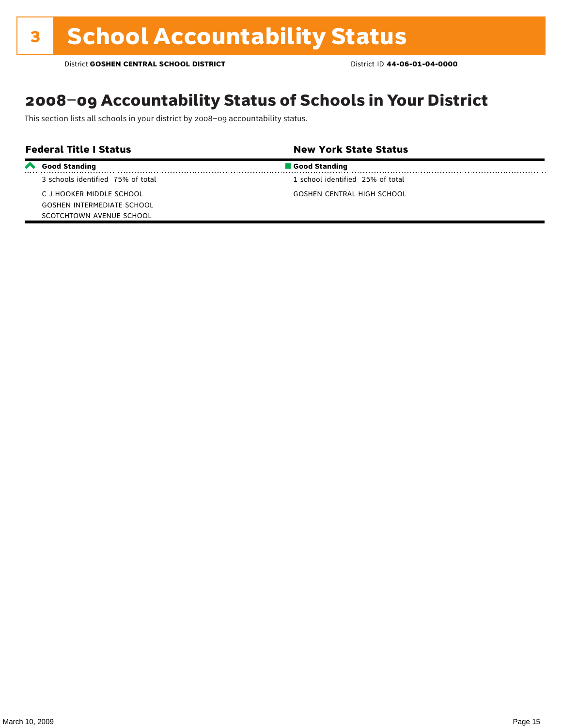### 2008–09 Accountability Status of Schools in Your District

This section lists all schools in your district by 2008–09 accountability status.

| <b>Federal Title I Status</b> |                                   | <b>New York State Status</b>     |  |
|-------------------------------|-----------------------------------|----------------------------------|--|
| $\boldsymbol{\sim}$           | <b>Good Standing</b>              | Good Standing                    |  |
|                               | 3 schools identified 75% of total | 1 school identified 25% of total |  |
|                               | C J HOOKER MIDDLE SCHOOL          | GOSHEN CENTRAL HIGH SCHOOL       |  |
|                               | <b>GOSHEN INTERMEDIATE SCHOOL</b> |                                  |  |
|                               | SCOTCHTOWN AVENUE SCHOOL          |                                  |  |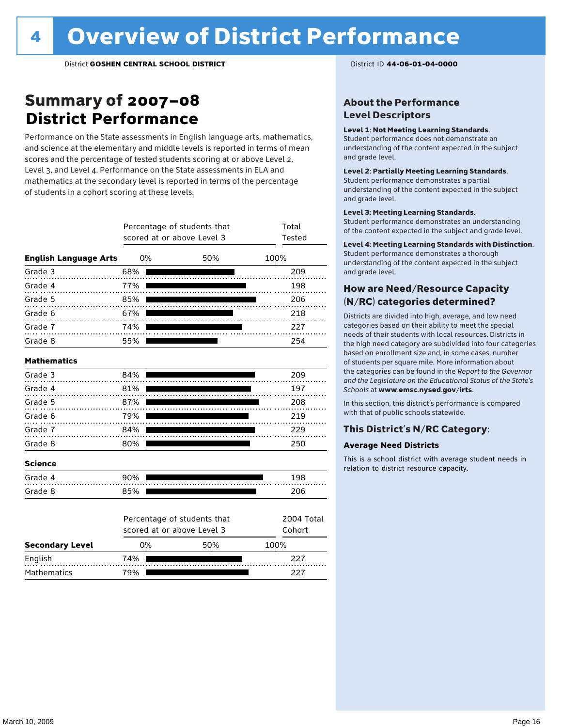### Summary of 2007–08 **District Performance**

Performance on the State assessments in English language arts, mathematics, and science at the elementary and middle levels is reported in terms of mean scores and the percentage of tested students scoring at or above Level 2, Level 3, and Level 4. Performance on the State assessments in ELA and mathematics at the secondary level is reported in terms of the percentage of students in a cohort scoring at these levels.

|                              | Percentage of students that<br>scored at or above Level 3 | Total<br><b>Tested</b>                                    |                      |
|------------------------------|-----------------------------------------------------------|-----------------------------------------------------------|----------------------|
| <b>English Language Arts</b> | 0%                                                        | 50%                                                       | 100%                 |
| Grade 3                      | 68%                                                       |                                                           | 209                  |
| Grade 4<br>.                 | 77%                                                       |                                                           | 198                  |
| Grade 5                      | 85%                                                       |                                                           | 206                  |
| Grade 6                      | 67%                                                       |                                                           | 218                  |
| Grade 7                      | 74%                                                       |                                                           | 227                  |
| Grade 8                      | 55%                                                       |                                                           | 254                  |
| <b>Mathematics</b>           |                                                           |                                                           |                      |
| Grade 3                      | 84%                                                       |                                                           | 209                  |
| Grade 4                      | 81%                                                       |                                                           | 197                  |
| Grade 5                      | 87%                                                       |                                                           | 208                  |
| Grade 6                      | 79%                                                       |                                                           | 219                  |
| Grade 7                      | 84%                                                       |                                                           | 229                  |
| Grade 8                      | 80%                                                       |                                                           | 250                  |
| <b>Science</b>               |                                                           |                                                           |                      |
| Grade 4                      | 90%                                                       |                                                           | 198                  |
| Grade 8                      | 85%                                                       |                                                           | 206                  |
|                              |                                                           | Percentage of students that<br>scored at or above Level 3 | 2004 Total<br>Cohort |
| <b>Secondary Level</b>       | 0%                                                        | 50%                                                       | 100%                 |

English 74% 227 Mathematics 79% 227

#### About the Performance Level Descriptors

#### Level 1: Not Meeting Learning Standards.

Student performance does not demonstrate an understanding of the content expected in the subject and grade level.

#### Level 2: Partially Meeting Learning Standards.

Student performance demonstrates a partial understanding of the content expected in the subject and grade level.

#### Level 3: Meeting Learning Standards.

Student performance demonstrates an understanding of the content expected in the subject and grade level.

#### Level 4: Meeting Learning Standards with Distinction.

Student performance demonstrates a thorough understanding of the content expected in the subject and grade level.

#### How are Need/Resource Capacity (N/RC) categories determined?

Districts are divided into high, average, and low need categories based on their ability to meet the special needs of their students with local resources. Districts in the high need category are subdivided into four categories based on enrollment size and, in some cases, number of students per square mile. More information about the categories can be found in the *Report to the Governor and the Legislature on the Educational Status of the State's Schools* at www.emsc.nysed.gov/irts.

In this section, this district's performance is compared with that of public schools statewide.

#### This District's N/RC Category:

#### **Average Need Districts**

This is a school district with average student needs in relation to district resource capacity.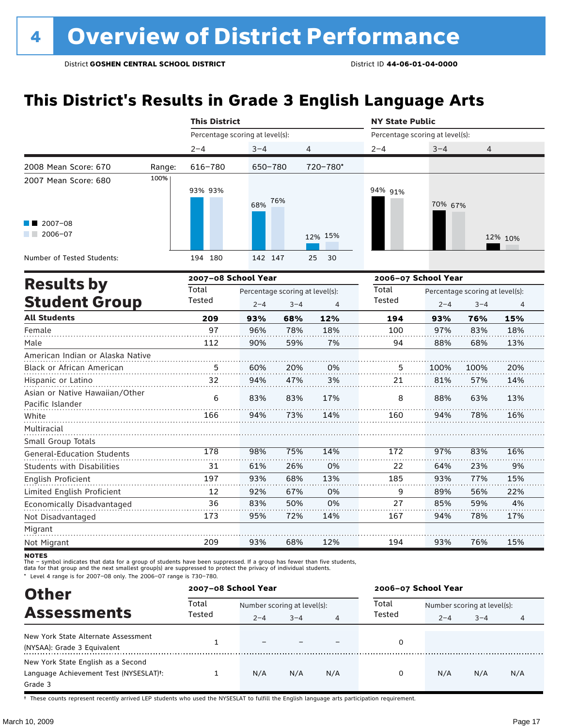### **This District's Results in Grade 3 English Language Arts**

|                                                    |        | <b>This District</b>            |         |                                 |                | <b>NY State Public</b>          |         |                                 |         |
|----------------------------------------------------|--------|---------------------------------|---------|---------------------------------|----------------|---------------------------------|---------|---------------------------------|---------|
|                                                    |        | Percentage scoring at level(s): |         |                                 |                | Percentage scoring at level(s): |         |                                 |         |
|                                                    |        | $2 - 4$                         | $3 - 4$ | $\overline{4}$                  |                | $2 - 4$                         | $3 - 4$ | 4                               |         |
| 2008 Mean Score: 670                               | Range: | 616-780                         | 650-780 |                                 | 720-780*       |                                 |         |                                 |         |
| 2007 Mean Score: 680                               | 100%   | 93% 93%                         | 68%     | 76%                             |                | 94% 91%                         | 70% 67% |                                 |         |
| $\blacksquare$ 2007-08<br>$2006 - 07$              |        |                                 |         |                                 | 12% 15%        |                                 |         |                                 | 12% 10% |
| Number of Tested Students:                         |        | 194 180                         | 142 147 |                                 | 30<br>25       |                                 |         |                                 |         |
|                                                    |        | 2007-08 School Year             |         |                                 |                | 2006-07 School Year             |         |                                 |         |
| <b>Results by</b>                                  |        | Total                           |         | Percentage scoring at level(s): |                | Total                           |         | Percentage scoring at level(s): |         |
| <b>Student Group</b>                               |        | Tested                          | $2 - 4$ | $3 - 4$                         | $\overline{4}$ | Tested                          | $2 - 4$ | $3 - 4$                         | 4       |
| <b>All Students</b>                                |        | 209                             | 93%     | 68%                             | 12%            | 194                             | 93%     | 76%                             | 15%     |
| Female                                             |        | 97                              | 96%     | 78%                             | 18%            | 100                             | 97%     | 83%                             | 18%     |
| Male                                               |        | 112                             | 90%     | 59%                             | 7%             | 94                              | 88%     | 68%                             | 13%     |
| American Indian or Alaska Native                   |        |                                 |         |                                 |                |                                 |         |                                 |         |
| Black or African American                          |        | 5                               | 60%     | 20%                             | 0%             | 5                               | 100%    | 100%                            | 20%     |
| Hispanic or Latino                                 |        | 32                              | 94%     | 47%                             | 3%             | 21                              | 81%     | 57%                             | 14%     |
| Asian or Native Hawaiian/Other<br>Pacific Islander |        | 6                               | 83%     | 83%                             | 17%            | 8                               | 88%     | 63%                             | 13%     |
| White                                              |        | 166                             | 94%     | 73%                             | 14%            | 160                             | 94%     | 78%                             | 16%     |
| Multiracial                                        |        |                                 |         |                                 |                |                                 |         |                                 |         |
| Small Group Totals                                 |        |                                 |         |                                 |                |                                 |         |                                 |         |
| <b>General-Education Students</b>                  |        | 178                             | 98%     | 75%                             | 14%            | 172                             | 97%     | 83%                             | 16%     |
| <b>Students with Disabilities</b>                  |        | 31                              | 61%     | 26%                             | 0%             | 22                              | 64%     | 23%                             | 9%      |
| English Proficient                                 |        | 197                             | 93%     | 68%                             | 13%            | 185                             | 93%     | 77%                             | 15%     |
| Limited English Proficient                         |        | 12                              | 92%     | 67%                             | 0%             | 9                               | 89%     | 56%                             | 22%     |
| Economically Disadvantaged                         |        | 36                              | 83%     | 50%                             | 0%             | 27                              | 85%     | 59%                             | 4%      |
| Not Disadvantaged                                  |        | 173                             | 95%     | 72%                             | 14%            | 167                             | 94%     | 78%                             | 17%     |
| Migrant                                            |        |                                 |         |                                 |                |                                 |         |                                 |         |
| Not Migrant                                        |        | 209                             | 93%     | 68%                             | 12%            | 194                             | 93%     | 76%                             | 15%     |

**NOTES** 

The – symbol indicates that data for a group of students have been suppressed. If a group has fewer than five students,<br>data for that group and the next smallest group(s) are suppressed to protect the privacy of individual

\* Level 4 range is for 2007–08 only. The 2006–07 range is 730–780.

| <b>Other</b>                                                                            | 2007-08 School Year |                             |         |                | 2006-07 School Year |                             |         |                |  |
|-----------------------------------------------------------------------------------------|---------------------|-----------------------------|---------|----------------|---------------------|-----------------------------|---------|----------------|--|
|                                                                                         | Total<br>Tested     | Number scoring at level(s): |         |                | Total               | Number scoring at level(s): |         |                |  |
| <b>Assessments</b>                                                                      |                     | $2 - 4$                     | $3 - 4$ | $\overline{4}$ | Tested              | $2 - 4$                     | $3 - 4$ | $\overline{4}$ |  |
| New York State Alternate Assessment<br>(NYSAA): Grade 3 Equivalent                      |                     |                             |         |                |                     |                             |         |                |  |
| New York State English as a Second<br>Language Achievement Test (NYSESLAT)t:<br>Grade 3 |                     | N/A                         | N/A     | N/A            | 0                   | N/A                         | N/A     | N/A            |  |

† These counts represent recently arrived LEP students who used the NYSESLAT to fulfill the English language arts participation requirement.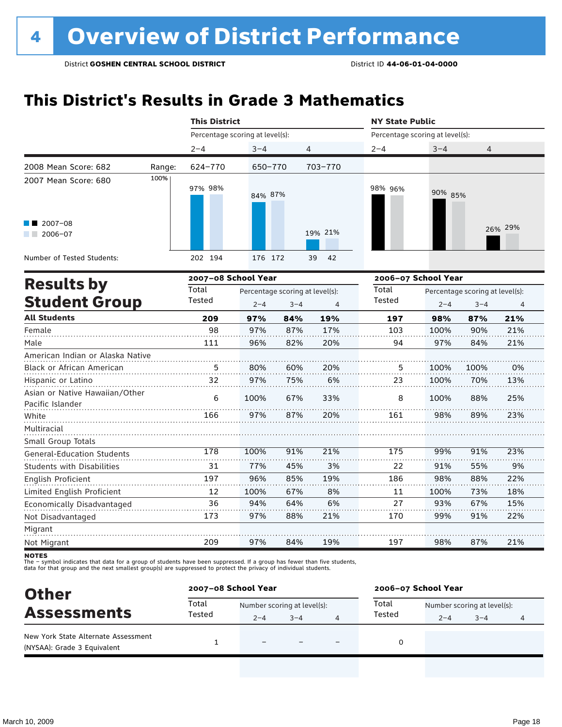### **This District's Results in Grade 3 Mathematics**

|                                                    |        | <b>This District</b>            |         |                                            |          | <b>NY State Public</b>          |                     |                                            |         |  |
|----------------------------------------------------|--------|---------------------------------|---------|--------------------------------------------|----------|---------------------------------|---------------------|--------------------------------------------|---------|--|
|                                                    |        | Percentage scoring at level(s): |         |                                            |          | Percentage scoring at level(s): |                     |                                            |         |  |
|                                                    |        | $2 - 4$                         | $3 - 4$ |                                            | 4        | $2 - 4$                         | $3 - 4$             | 4                                          |         |  |
| 2008 Mean Score: 682                               | Range: | 624-770                         | 650-770 |                                            | 703-770  |                                 |                     |                                            |         |  |
| 2007 Mean Score: 680                               | 100%   | 97% 98%                         | 84% 87% |                                            |          | 98% 96%                         | 90% 85%             |                                            |         |  |
| $2007 - 08$<br>$12006 - 07$                        |        |                                 |         |                                            | 19% 21%  |                                 |                     |                                            | 26% 29% |  |
| Number of Tested Students:                         |        | 202 194                         | 176 172 |                                            | 42<br>39 |                                 |                     |                                            |         |  |
| <b>Results by</b>                                  |        | 2007-08 School Year             |         |                                            |          |                                 | 2006-07 School Year |                                            |         |  |
| <b>Student Group</b>                               |        | Total<br>Tested                 | $2 - 4$ | Percentage scoring at level(s):<br>$3 - 4$ | 4        | Total<br>Tested                 | $2 - 4$             | Percentage scoring at level(s):<br>$3 - 4$ | 4       |  |
| <b>All Students</b>                                |        | 209                             | 97%     | 84%                                        | 19%      | 197                             | 98%                 | 87%                                        | 21%     |  |
| Female                                             |        | 98                              | 97%     | 87%                                        | 17%      | 103                             | 100%                | 90%                                        | 21%     |  |
| Male                                               |        | 111                             | 96%     | 82%                                        | 20%      | 94                              | 97%                 | 84%                                        | 21%     |  |
| American Indian or Alaska Native                   |        |                                 |         |                                            |          |                                 |                     |                                            |         |  |
| Black or African American                          |        | 5                               | 80%     | 60%                                        | 20%      | 5                               | 100%                | 100%                                       | 0%      |  |
| Hispanic or Latino                                 |        | 32                              | 97%     | 75%                                        | 6%       | 23                              | 100%                | 70%                                        | 13%     |  |
| Asian or Native Hawaiian/Other<br>Pacific Islander |        | 6                               | 100%    | 67%                                        | 33%      | 8                               | 100%                | 88%                                        | 25%     |  |
| White                                              |        | 166                             | 97%     | 87%                                        | 20%      | 161                             | 98%                 | 89%                                        | 23%     |  |
| Multiracial<br>Small Group Totals                  |        |                                 |         |                                            |          |                                 |                     |                                            |         |  |
| <b>General-Education Students</b>                  |        | 178                             | 100%    | 91%                                        | 21%      | 175                             | 99%                 | 91%                                        | 23%     |  |
| Students with Disabilities                         |        | 31                              | 77%     | 45%                                        | 3%       | 22                              | 91%                 | 55%                                        | 9%      |  |
| English Proficient                                 |        | 197                             | 96%     | 85%                                        | 19%      | 186                             | 98%                 | 88%                                        | 22%     |  |
| Limited English Proficient                         |        | 12                              | 100%    | 67%                                        | 8%       | 11                              | 100%                | 73%                                        | 18%     |  |
| Economically Disadvantaged                         |        | 36                              | 94%     | 64%                                        | 6%       | 27                              | 93%                 | 67%                                        | 15%     |  |
| Not Disadvantaged                                  |        | 173                             | 97%     | 88%                                        | 21%      | 170                             | 99%                 | 91%                                        | 22%     |  |
| Migrant                                            |        |                                 |         |                                            |          |                                 |                     |                                            |         |  |
| Not Migrant                                        |        | 209                             | 97%     | 84%                                        | 19%      | 197                             | 98%                 | 87%                                        | 21%     |  |

**NOTES** 

The – symbol indicates that data for a group of students have been suppressed. If a group has fewer than five students,<br>data for that group and the next smallest group(s) are suppressed to protect the privacy of individual

| Total<br>Total<br>Number scoring at level(s):<br>Number scoring at level(s):<br><b>Assessments</b><br>Tested<br>Tested<br>$2 - 4$<br>$3 - 4$<br>$3 - 4$<br>$2 - 4$<br>4<br>New York State Alternate Assessment<br>$\equiv$ | <b>Other</b>                | 2007-08 School Year |  |  |  | 2006-07 School Year |  |  |  |  |
|----------------------------------------------------------------------------------------------------------------------------------------------------------------------------------------------------------------------------|-----------------------------|---------------------|--|--|--|---------------------|--|--|--|--|
|                                                                                                                                                                                                                            |                             |                     |  |  |  |                     |  |  |  |  |
|                                                                                                                                                                                                                            |                             |                     |  |  |  |                     |  |  |  |  |
|                                                                                                                                                                                                                            | (NYSAA): Grade 3 Equivalent |                     |  |  |  |                     |  |  |  |  |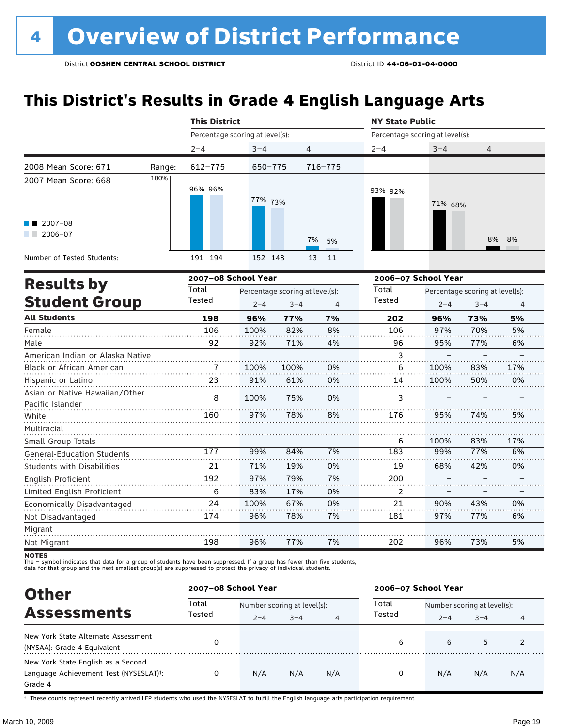### **This District's Results in Grade 4 English Language Arts**

|                                                                                                        |        | <b>This District</b>                   |                                            |                      | <b>NY State Public</b>          |                                                                   |              |  |
|--------------------------------------------------------------------------------------------------------|--------|----------------------------------------|--------------------------------------------|----------------------|---------------------------------|-------------------------------------------------------------------|--------------|--|
|                                                                                                        |        |                                        | Percentage scoring at level(s):            |                      | Percentage scoring at level(s): |                                                                   |              |  |
|                                                                                                        |        | $2 - 4$                                | $3 - 4$                                    | 4                    | $2 - 4$                         | $3 - 4$                                                           | 4            |  |
| 2008 Mean Score: 671                                                                                   | Range: | 612-775                                | 650-775                                    | 716-775              |                                 |                                                                   |              |  |
| 2007 Mean Score: 668<br>$\blacksquare$ 2007-08<br>$2006 - 07$<br>a sa Ba<br>Number of Tested Students: | 100%   | 96% 96%<br>191 194                     | 77% 73%<br>152 148                         | 7%<br>5%<br>13<br>11 | 93% 92%                         | 71% 68%                                                           | 8% 8%        |  |
| <b>Results by</b><br><b>Student Group</b>                                                              |        | 2007-08 School Year<br>Total<br>Tested | Percentage scoring at level(s):<br>$2 - 4$ | $3 - 4$<br>4         | Total<br>Tested                 | 2006-07 School Year<br>Percentage scoring at level(s):<br>$2 - 4$ | $3 - 4$<br>4 |  |

| <b>Student Group</b>                               | Tested | $2 - 4$ | $3 - 4$ | $\overline{4}$ | Tested | $2 - 4$ | $3 - 4$ | $\overline{4}$ |
|----------------------------------------------------|--------|---------|---------|----------------|--------|---------|---------|----------------|
| <b>All Students</b>                                | 198    | 96%     | 77%     | 7%             | 202    | 96%     | 73%     | 5%             |
| Female                                             | 106    | 100%    | 82%     | 8%             | 106    | 97%     | 70%     | 5%             |
| Male                                               | 92     | 92%     | 71%     | 4%             | 96     | 95%     | 77%     | 6%             |
| American Indian or Alaska Native                   |        |         |         |                | 3      |         |         |                |
| Black or African American                          | 7      | 100%    | 100%    | 0%             | 6      | 100%    | 83%     | 17%            |
| Hispanic or Latino                                 | 23     | 91%     | 61%     | 0%             | 14     | 100%    | 50%     | 0%             |
| Asian or Native Hawaiian/Other<br>Pacific Islander | 8      | 100%    | 75%     | 0%             | 3      |         |         |                |
| White                                              | 160    | 97%     | 78%     | 8%             | 176    | 95%     | 74%     | 5%             |
| Multiracial                                        |        |         |         |                |        |         |         |                |
| Small Group Totals                                 |        |         |         |                | 6      | 100%    | 83%     | 17%            |
| <b>General-Education Students</b>                  | 177    | 99%     | 84%     | 7%             | 183    | 99%     | 77%     | 6%             |
| <b>Students with Disabilities</b>                  | 21     | 71%     | 19%     | 0%             | 19     | 68%     | 42%     | 0%             |
| English Proficient                                 | 192    | 97%     | 79%     | 7%             | 200    |         |         |                |
| Limited English Proficient                         | 6      | 83%     | 17%     | 0%             | 2      |         |         |                |
| Economically Disadvantaged                         | 24     | 100%    | 67%     | 0%             | 21     | 90%     | 43%     | 0%             |
| Not Disadvantaged                                  | 174    | 96%     | 78%     | 7%             | 181    | 97%     | 77%     | 6%             |
| Migrant                                            |        |         |         |                |        |         |         |                |
| Not Migrant                                        | 198    | 96%     | 77%     | 7%             | 202    | 96%     | 73%     | 5%             |

**NOTES** 

The – symbol indicates that data for a group of students have been suppressed. If a group has fewer than five students,<br>data for that group and the next smallest group(s) are suppressed to protect the privacy of individual

| <b>Other</b>                                                                            | 2007-08 School Year |                                        |         |     | 2006-07 School Year |                                        |         |     |
|-----------------------------------------------------------------------------------------|---------------------|----------------------------------------|---------|-----|---------------------|----------------------------------------|---------|-----|
| <b>Assessments</b>                                                                      | Total<br>Tested     | Number scoring at level(s):<br>$2 - 4$ | $3 - 4$ | 4   | Total<br>Tested     | Number scoring at level(s):<br>$2 - 4$ | $3 - 4$ |     |
| New York State Alternate Assessment<br>(NYSAA): Grade 4 Equivalent                      |                     |                                        |         |     | 6                   | 6                                      | 5       |     |
| New York State English as a Second<br>Language Achievement Test (NYSESLAT)t:<br>Grade 4 |                     | N/A                                    | N/A     | N/A | 0                   | N/A                                    | N/A     | N/A |

† These counts represent recently arrived LEP students who used the NYSESLAT to fulfill the English language arts participation requirement.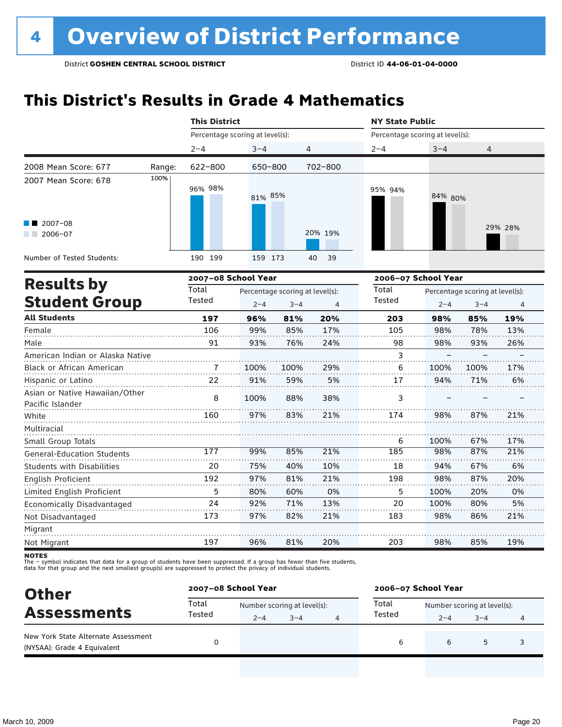### **This District's Results in Grade 4 Mathematics**

|                                                    |        | <b>This District</b>            |         |                                 |                | <b>NY State Public</b>          |                     |                                 |         |  |
|----------------------------------------------------|--------|---------------------------------|---------|---------------------------------|----------------|---------------------------------|---------------------|---------------------------------|---------|--|
|                                                    |        | Percentage scoring at level(s): |         |                                 |                | Percentage scoring at level(s): |                     |                                 |         |  |
|                                                    |        | $2 - 4$                         | $3 - 4$ | 4                               |                | $2 - 4$                         | $3 - 4$             | 4                               |         |  |
| 2008 Mean Score: 677                               | Range: | 622-800                         | 650-800 |                                 | 702-800        |                                 |                     |                                 |         |  |
| 2007 Mean Score: 678                               | 100%   | 96% 98%                         | 81% 85% |                                 |                | 95% 94%                         | 84% 80%             |                                 |         |  |
| 2007-08<br>$2006 - 07$                             |        |                                 |         |                                 | 20% 19%        |                                 |                     |                                 | 29% 28% |  |
| Number of Tested Students:                         |        | 190 199                         | 159 173 |                                 | 39<br>40       |                                 |                     |                                 |         |  |
| <b>Results by</b>                                  |        | 2007-08 School Year             |         |                                 |                |                                 | 2006-07 School Year |                                 |         |  |
|                                                    |        | Total                           |         | Percentage scoring at level(s): |                | Total                           |                     | Percentage scoring at level(s): |         |  |
| <b>Student Group</b>                               |        | Tested                          | $2 - 4$ | $3 - 4$                         | $\overline{4}$ | Tested                          | $2 - 4$             | $3 - 4$                         | 4       |  |
| <b>All Students</b>                                |        | 197                             | 96%     | 81%                             | 20%            | 203                             | 98%                 | 85%                             | 19%     |  |
| Female                                             |        | 106                             | 99%     | 85%                             | 17%            | 105                             | 98%                 | 78%                             | 13%     |  |
| Male                                               |        | 91                              | 93%     | 76%                             | 24%            | 98                              | 98%                 | 93%                             | 26%     |  |
| American Indian or Alaska Native                   |        |                                 |         |                                 |                | 3                               |                     |                                 |         |  |
| Black or African American                          |        | 7                               | 100%    | 100%                            | 29%            | 6                               | 100%                | 100%                            | 17%     |  |
| Hispanic or Latino                                 |        | 22                              | 91%     | 59%                             | 5%             | 17                              | 94%                 | 71%                             | 6%      |  |
| Asian or Native Hawaiian/Other<br>Pacific Islander |        | 8                               | 100%    | 88%                             | 38%            | 3                               |                     |                                 |         |  |
| White                                              |        | 160                             | 97%     | 83%                             | 21%            | 174                             | 98%                 | 87%                             | 21%     |  |
| Multiracial                                        |        |                                 |         |                                 |                |                                 |                     |                                 |         |  |
| Small Group Totals                                 |        |                                 |         |                                 |                | 6                               | 100%                | 67%                             | 17%     |  |
| <b>General-Education Students</b>                  |        | 177                             | 99%     | 85%                             | 21%            | 185                             | 98%                 | 87%                             | 21%     |  |
| Students with Disabilities                         |        | 20                              | 75%     | 40%                             | 10%            | 18                              | 94%                 | 67%                             | 6%      |  |
| <b>English Proficient</b>                          |        | 192                             | 97%     | 81%                             | 21%            | 198                             | 98%                 | 87%                             | 20%     |  |
| Limited English Proficient                         |        | 5                               | 80%     | 60%                             | 0%             | 5                               | 100%                | 20%                             | 0%      |  |
| Economically Disadvantaged                         |        | 24                              | 92%     | 71%                             | 13%            | 20                              | 100%                | 80%                             | 5%      |  |
| Not Disadvantaged                                  |        | 173                             | 97%     | 82%                             | 21%            | 183                             | 98%                 | 86%                             | 21%     |  |
| Migrant                                            |        |                                 |         |                                 |                |                                 |                     |                                 |         |  |
| Not Migrant                                        |        | 197                             | 96%     | 81%                             | 20%            | 203                             | 98%                 | 85%                             | 19%     |  |

**NOTES** 

The – symbol indicates that data for a group of students have been suppressed. If a group has fewer than five students,<br>data for that group and the next smallest group(s) are suppressed to protect the privacy of individual

| <b>Other</b>                                                       | 2007-08 School Year |                             |         |  | 2006-07 School Year |         |                             |  |  |
|--------------------------------------------------------------------|---------------------|-----------------------------|---------|--|---------------------|---------|-----------------------------|--|--|
| <b>Assessments</b>                                                 | Total<br>Tested     | Number scoring at level(s): |         |  | Total               |         | Number scoring at level(s): |  |  |
|                                                                    |                     | $2 - 4$                     | $3 - 4$ |  | Tested              | $2 - 4$ | $3 - 4$                     |  |  |
| New York State Alternate Assessment<br>(NYSAA): Grade 4 Equivalent |                     |                             |         |  | 6                   |         | 5                           |  |  |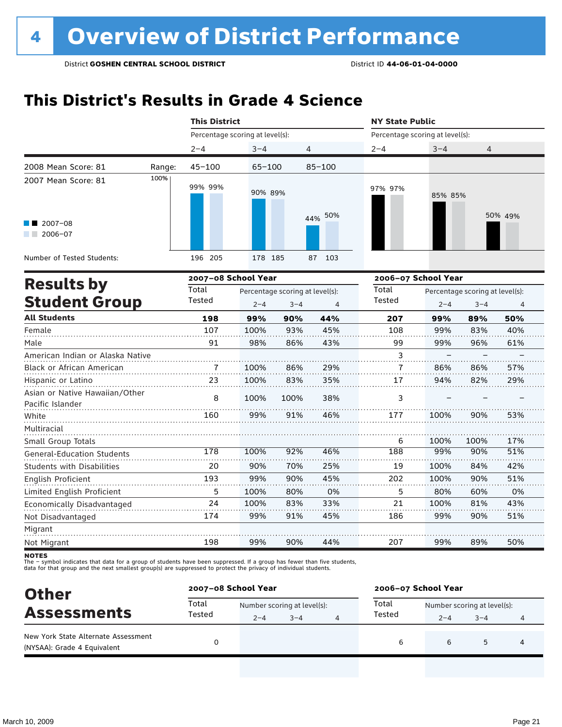### **This District's Results in Grade 4 Science**

|                                                    |        | <b>This District</b>            |            |                                 |                | <b>NY State Public</b>          |             |                                 |            |  |
|----------------------------------------------------|--------|---------------------------------|------------|---------------------------------|----------------|---------------------------------|-------------|---------------------------------|------------|--|
|                                                    |        | Percentage scoring at level(s): |            |                                 |                | Percentage scoring at level(s): |             |                                 |            |  |
|                                                    |        | $2 - 4$                         | $3 - 4$    | 4                               |                | $2 - 4$                         | $3 - 4$     | 4                               |            |  |
| 2008 Mean Score: 81                                | Range: | $45 - 100$                      | $65 - 100$ |                                 | $85 - 100$     |                                 |             |                                 |            |  |
| 2007 Mean Score: 81                                | 100%   | 99% 99%                         | 90% 89%    |                                 |                | 97% 97%                         | 85% 85%     |                                 |            |  |
| $\blacksquare$ 2007-08<br>$2006 - 07$              |        |                                 |            |                                 | 44% 50%        |                                 |             |                                 | 50% 49%    |  |
| Number of Tested Students:                         |        | 196 205                         | 178 185    |                                 | 103<br>87      |                                 |             |                                 |            |  |
|                                                    |        | 2007-08 School Year             |            |                                 |                | 2006-07 School Year             |             |                                 |            |  |
| <b>Results by</b>                                  |        | Total                           |            | Percentage scoring at level(s): |                | Total                           |             | Percentage scoring at level(s): |            |  |
| <b>Student Group</b>                               |        | Tested                          | $2 - 4$    | $3 - 4$                         | $\overline{4}$ | Tested                          | $2 - 4$     | $3 - 4$                         | 4          |  |
| <b>All Students</b>                                |        | 198                             | 99%        | 90%                             | 44%            | 207                             | 99%         | 89%                             | 50%        |  |
| Female                                             |        | 107                             | 100%       | 93%                             | 45%            | 108                             | 99%         | 83%                             | 40%        |  |
| Male                                               |        | 91                              | 98%        | 86%                             | 43%            | 99                              | 99%         | 96%                             | 61%        |  |
| American Indian or Alaska Native                   |        |                                 |            |                                 |                | 3                               |             |                                 |            |  |
| <b>Black or African American</b>                   |        | 7                               | 100%       | 86%                             | 29%            | 7                               | 86%         | 86%                             | 57%        |  |
| Hispanic or Latino                                 |        | 23                              | 100%       | 83%                             | 35%            | 17                              | 94%         | 82%                             | 29%        |  |
| Asian or Native Hawaiian/Other<br>Pacific Islander |        | 8                               | 100%       | 100%                            | 38%            | 3                               |             |                                 |            |  |
| White                                              |        | 160                             | 99%        | 91%                             | 46%            | 177                             | 100%        | 90%                             | 53%        |  |
| Multiracial                                        |        |                                 |            |                                 |                |                                 |             |                                 |            |  |
| Small Group Totals                                 |        | 178                             | 100%       | 92%                             | 46%            | 6<br>188                        | 100%<br>99% | 100%<br>90%                     | 17%<br>51% |  |
| <b>General-Education Students</b>                  |        |                                 |            |                                 |                |                                 |             |                                 |            |  |
| Students with Disabilities                         |        | 20                              | 90%        | 70%                             | 25%            | 19                              | 100%        | 84%                             | 42%        |  |
| <b>English Proficient</b>                          |        | 193                             | 99%        | 90%                             | 45%            | 202                             | 100%        | 90%                             | 51%        |  |
| Limited English Proficient                         |        | 5                               | 100%       | 80%                             | 0%             | 5                               | 80%         | 60%                             | 0%         |  |
| Economically Disadvantaged                         |        | 24                              | 100%       | 83%                             | 33%            | 21                              | 100%        | 81%                             | 43%        |  |
| Not Disadvantaged                                  |        | 174                             | 99%        | 91%                             | 45%            | 186                             | 99%         | 90%                             | 51%        |  |
| Migrant                                            |        |                                 |            |                                 |                |                                 |             |                                 |            |  |
| Not Migrant                                        |        | 198                             | 99%        | 90%                             | 44%            | 207                             | 99%         | 89%                             | 50%        |  |

**NOTES** 

The – symbol indicates that data for a group of students have been suppressed. If a group has fewer than five students,<br>data for that group and the next smallest group(s) are suppressed to protect the privacy of individual

| <b>Other</b>                                                       | 2007-08 School Year |                             |         |  | 2006-07 School Year |                             |         |   |  |
|--------------------------------------------------------------------|---------------------|-----------------------------|---------|--|---------------------|-----------------------------|---------|---|--|
| <b>Assessments</b>                                                 | Total               | Number scoring at level(s): |         |  | Total               | Number scoring at level(s): |         |   |  |
|                                                                    | Tested              | $2 - 4$                     | $3 - 4$ |  | Tested              | $2 - 4$                     | $3 - 4$ |   |  |
| New York State Alternate Assessment<br>(NYSAA): Grade 4 Equivalent |                     |                             |         |  | 6                   | 6                           | 5       | 4 |  |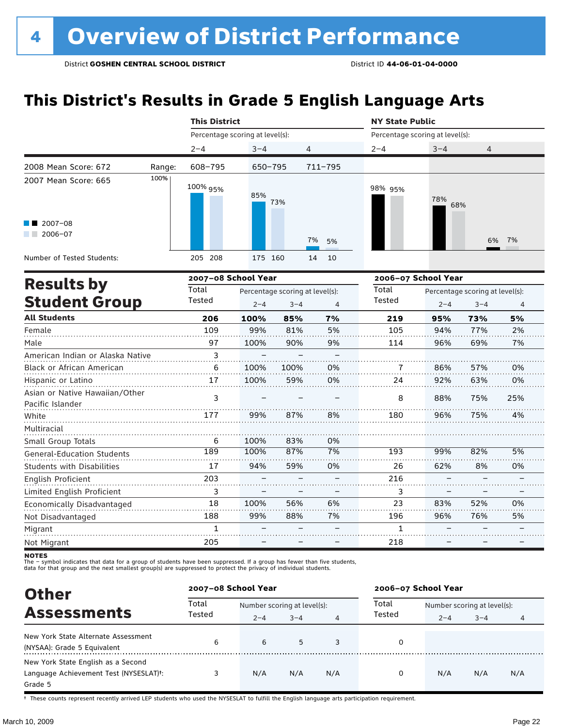23

83% 96% 52% 76% – –

0% 5%  $\overline{z}$ .  $\overline{\phantom{0}}$ 

– –

1

### **This District's Results in Grade 5 English Language Arts**

|                                                    |        | <b>This District</b> |                                 |                                 |             | <b>NY State Public</b>          |            |                                 |     |  |
|----------------------------------------------------|--------|----------------------|---------------------------------|---------------------------------|-------------|---------------------------------|------------|---------------------------------|-----|--|
|                                                    |        |                      | Percentage scoring at level(s): |                                 |             | Percentage scoring at level(s): |            |                                 |     |  |
|                                                    |        | $2 - 4$              | $3 - 4$                         | $\overline{4}$                  |             | $2 - 4$                         | $3 - 4$    | $\overline{4}$                  |     |  |
| 2008 Mean Score: 672                               | Range: | 608-795              | $650 - 795$                     |                                 | $711 - 795$ |                                 |            |                                 |     |  |
| 2007 Mean Score: 665                               | 100%   | 100% 95%             | 85%                             | 73%                             |             | 98% 95%                         | 78%<br>68% |                                 |     |  |
| $\blacksquare$ 2007-08<br>2006-07                  |        |                      |                                 |                                 | 7%<br>5%    |                                 |            | 6%                              | 7%  |  |
| Number of Tested Students:                         |        | 205 208              | 175 160                         | 14                              | 10          |                                 |            |                                 |     |  |
|                                                    |        |                      | 2007-08 School Year             |                                 |             | 2006-07 School Year             |            |                                 |     |  |
| <b>Results by</b>                                  |        | Total                |                                 | Percentage scoring at level(s): |             | Total                           |            | Percentage scoring at level(s): |     |  |
| <b>Student Group</b>                               |        |                      | $2 - 4$                         | $3 - 4$                         | 4           | Tested                          | $2 - 4$    | $3 - 4$                         | 4   |  |
| <b>All Students</b>                                |        | 206                  | 100%                            | 85%                             | 7%          | 219                             | 95%        | 73%                             | 5%  |  |
| Female                                             |        | 109                  | 99%                             | 81%                             | 5%          | 105                             | 94%        | 77%                             | 2%  |  |
| Male                                               |        | 97                   | 100%                            | 90%                             | 9%          | 114                             | 96%        | 69%                             | 7%  |  |
| American Indian or Alaska Native                   |        | 3                    |                                 |                                 |             |                                 |            |                                 |     |  |
| <b>Black or African American</b>                   |        | 6                    | 100%                            | 100%                            | 0%          | 7                               | 86%        | 57%                             | 0%  |  |
| Hispanic or Latino                                 |        | 17                   | 100%                            | 59%                             | 0%          | 24                              | 92%        | 63%                             | 0%  |  |
| Asian or Native Hawaiian/Other<br>Pacific Islander |        | $\overline{3}$       |                                 |                                 |             | 8                               | 88%        | 75%                             | 25% |  |
| White                                              |        | 177                  | 99%                             | 87%                             | 8%          | 180                             | 96%        | 75%                             | 4%  |  |
| Multiracial                                        |        |                      |                                 |                                 |             |                                 |            |                                 |     |  |
| Small Group Totals                                 |        | 6                    | 100%                            | 83%                             | 0%          |                                 |            |                                 |     |  |
| <b>General-Education Students</b>                  |        | 189                  | 100%                            | 87%                             | 7%          | 193                             | 99%        | 82%                             | 5%  |  |
| <b>Students with Disabilities</b>                  |        | 17                   | 94%                             | 59%                             | 0%          | 26                              | 62%        | 8%                              | 0%  |  |
| English Proficient                                 |        | 203                  |                                 |                                 |             | 216                             |            |                                 |     |  |
| Limited English Proficient                         |        | 3                    |                                 |                                 |             | 3                               |            |                                 |     |  |

Economically Disadvantaged Not Disadvantaged Migrant Not Migrant 18 188 1 205 100% 99% – – 56% 88% – – 6% 7% – – 196 218

The – symbot muicates that data for a group of students have been suppressed. In a group has fewer than five<br>data for that group and the next smallest group(s) are suppressed to protect the privacy of individual students. .<br>– symbol indicates that data for a group of students have been suppressed. If a group has fewer than five students,

| <b>Other</b>                                                                            | 2007-08 School Year |                                        |         |     | 2006-07 School Year |                                        |         |     |
|-----------------------------------------------------------------------------------------|---------------------|----------------------------------------|---------|-----|---------------------|----------------------------------------|---------|-----|
| <b>Assessments</b>                                                                      | Total<br>Tested     | Number scoring at level(s):<br>$2 - 4$ | $3 - 4$ |     | Total<br>Tested     | Number scoring at level(s):<br>$2 - 4$ | $3 - 4$ |     |
| New York State Alternate Assessment<br>(NYSAA): Grade 5 Equivalent                      | 6                   | 6                                      | 5       | 3   |                     |                                        |         |     |
| New York State English as a Second<br>Language Achievement Test (NYSESLAT)t:<br>Grade 5 |                     | N/A                                    | N/A     | N/A | 0                   | N/A                                    | N/A     | N/A |

† These counts represent recently arrived LEP students who used the NYSESLAT to fulfill the English language arts participation requirement.

**NOTES**<br>The - syr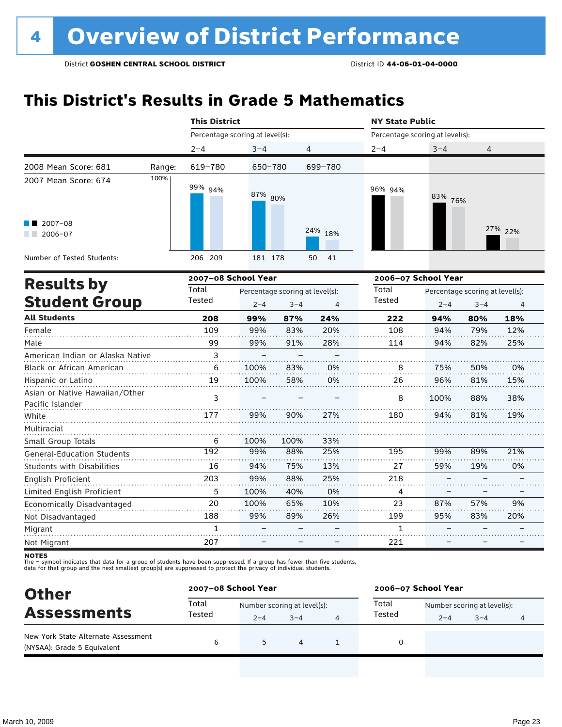### **This District's Results in Grade 5 Mathematics**

|                                                    |        | <b>This District</b>            |                                 |         |          | <b>NY State Public</b>          |                                 |         |         |  |
|----------------------------------------------------|--------|---------------------------------|---------------------------------|---------|----------|---------------------------------|---------------------------------|---------|---------|--|
|                                                    |        | Percentage scoring at level(s): |                                 |         |          | Percentage scoring at level(s): |                                 |         |         |  |
|                                                    |        | $2 - 4$                         | $3 - 4$                         | 4       |          | $2 - 4$                         | $3 - 4$                         | 4       |         |  |
| 2008 Mean Score: 681                               | Range: | 619-780                         | 650-780                         |         | 699-780  |                                 |                                 |         |         |  |
| 2007 Mean Score: 674                               | 100%   | 99% 94%                         | 87% 80%                         |         |          | 96% 94%                         | 83% 76%                         |         |         |  |
| $12007 - 08$<br>$2006 - 07$                        |        |                                 |                                 |         | 24% 18%  |                                 |                                 |         | 27% 22% |  |
| Number of Tested Students:                         |        | 206 209                         | 181 178                         |         | 41<br>50 |                                 |                                 |         |         |  |
|                                                    |        | 2007-08 School Year             |                                 |         |          | 2006-07 School Year             |                                 |         |         |  |
| <b>Results by</b>                                  | Total  |                                 | Percentage scoring at level(s): |         | Total    |                                 | Percentage scoring at level(s): |         |         |  |
| <b>Student Group</b>                               |        | Tested                          | $2 - 4$                         | $3 - 4$ | 4        | <b>Tested</b>                   | $2 - 4$                         | $3 - 4$ | 4       |  |
| <b>All Students</b>                                |        | 208                             | 99%                             | 87%     | 24%      | 222                             | 94%                             | 80%     | 18%     |  |
| Female                                             |        | 109                             | 99%                             | 83%     | 20%      | 108                             | 94%                             | 79%     | 12%     |  |
| Male                                               |        | 99                              | 99%                             | 91%     | 28%      | 114                             | 94%                             | 82%     | 25%     |  |
| American Indian or Alaska Native                   |        | 3                               |                                 |         |          |                                 |                                 |         |         |  |
| Black or African American                          |        | 6                               | 100%                            | 83%     | 0%       | 8                               | 75%                             | 50%     | 0%      |  |
| Hispanic or Latino                                 |        | 19                              | 100%                            | 58%     | 0%       | 26                              | 96%                             | 81%     | 15%     |  |
| Asian or Native Hawaiian/Other<br>Pacific Islander |        | 3                               |                                 |         |          | 8                               | 100%                            | 88%     | 38%     |  |
| White                                              |        | 177                             | 99%                             | 90%     | 27%      | 180                             | 94%                             | 81%     | 19%     |  |
| Multiracial                                        |        |                                 |                                 |         |          |                                 |                                 |         |         |  |
| Small Group Totals                                 |        | 6                               | 100%                            | 100%    | 33%      |                                 |                                 |         |         |  |
| <b>General-Education Students</b>                  |        | 192                             | 99%                             | 88%     | 25%      | 195                             | 99%                             | 89%     | 21%     |  |
| <b>Students with Disabilities</b>                  |        | 16                              | 94%                             | 75%     | 13%      | 27                              | 59%                             | 19%     | 0%      |  |
| <b>English Proficient</b>                          |        | 203                             | 99%                             | 88%     | 25%      | 218                             |                                 |         |         |  |
| Limited English Proficient                         |        | 5                               | 100%                            | 40%     | 0%       | 4                               |                                 |         |         |  |

Not Disadvantaged

Migrant Not Migrant

Economically Disadvantaged

The – symbol indicates that data for a group of students have been suppressed. If a group has fewer than five students,<br>data for that group and the next smallest group(s) are suppressed to protect the privacy of individual

100% 99%

> – –

| <b>Other</b>                                                       | 2007-08 School Year |                                        |         | 2006-07 School Year |         |                                        |  |  |
|--------------------------------------------------------------------|---------------------|----------------------------------------|---------|---------------------|---------|----------------------------------------|--|--|
| <b>Assessments</b>                                                 | Total<br>Tested     | Number scoring at level(s):<br>$2 - 4$ | $3 - 4$ | Total<br>Tested     | $2 - 4$ | Number scoring at level(s):<br>$3 - 4$ |  |  |
| New York State Alternate Assessment<br>(NYSAA): Grade 5 Equivalent | 6                   | 5                                      | 4       | 0                   |         |                                        |  |  |

65% 89% 10% 26% – –

87% 95% 57% 83% – –

9% 20%

> –  $\overline{\phantom{0}}$

– –

– –

**NOTES**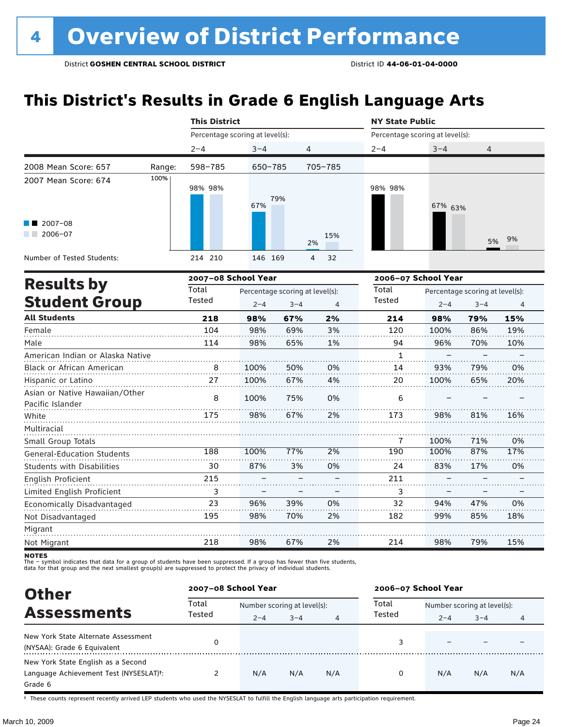### **This District's Results in Grade 6 English Language Arts**

|                                                    |        | <b>This District</b>            |                                 |         |                | <b>NY State Public</b>          |         |                                 |     |  |
|----------------------------------------------------|--------|---------------------------------|---------------------------------|---------|----------------|---------------------------------|---------|---------------------------------|-----|--|
|                                                    |        | Percentage scoring at level(s): |                                 |         |                | Percentage scoring at level(s): |         |                                 |     |  |
|                                                    |        | $2 - 4$                         | $3 - 4$                         | 4       |                | $2 - 4$                         | $3 - 4$ | 4                               |     |  |
| 2008 Mean Score: 657                               | Range: | 598-785                         | 650-785                         |         | 705-785        |                                 |         |                                 |     |  |
| 2007 Mean Score: 674                               | 100%   | 98% 98%                         | 67%                             | 79%     |                | 98% 98%                         | 67% 63% |                                 |     |  |
| $2007 - 08$<br>$2006 - 07$                         |        |                                 |                                 |         | 15%<br>2%      |                                 |         | 5%                              | 9%  |  |
| Number of Tested Students:                         |        | 214 210                         | 146 169                         |         | 4<br>32        |                                 |         |                                 |     |  |
| <b>Results by</b>                                  |        | 2007-08 School Year             |                                 |         |                | 2006-07 School Year             |         |                                 |     |  |
|                                                    |        | Total                           | Percentage scoring at level(s): |         |                | Total                           |         | Percentage scoring at level(s): |     |  |
| <b>Student Group</b>                               |        | Tested                          | $2 - 4$                         | $3 - 4$ | $\overline{4}$ | Tested                          | $2 - 4$ | $3 - 4$                         | 4   |  |
| <b>All Students</b>                                |        | 218                             | 98%                             | 67%     | 2%             | 214                             | 98%     | 79%                             | 15% |  |
| Female                                             |        | 104                             | 98%                             | 69%     | 3%             | 120                             | 100%    | 86%                             | 19% |  |
| Male                                               |        | 114                             | 98%                             | 65%     | 1%             | 94                              | 96%     | 70%                             | 10% |  |
| American Indian or Alaska Native                   |        |                                 |                                 |         |                | $\mathbf{1}$                    |         |                                 |     |  |
| <b>Black or African American</b>                   |        | 8                               | 100%                            | 50%     | 0%             | 14                              | 93%     | 79%                             | 0%  |  |
| Hispanic or Latino                                 |        | 27                              | 100%                            | 67%     | 4%             | 20                              | 100%    | 65%                             | 20% |  |
| Asian or Native Hawaiian/Other<br>Pacific Islander |        | 8                               | 100%                            | 75%     | 0%             | 6                               |         |                                 |     |  |
| White                                              |        | 175                             | 98%                             | 67%     | 2%             | 173                             | 98%     | 81%                             | 16% |  |
| Multiracial                                        |        |                                 |                                 |         |                |                                 |         |                                 |     |  |
| Small Group Totals                                 |        |                                 |                                 |         |                | 7                               | 100%    | 71%                             | 0%  |  |
| <b>General-Education Students</b>                  |        | 188                             | 100%                            | 77%     | 2%             | 190                             | 100%    | 87%                             | 17% |  |
| <b>Students with Disabilities</b>                  |        | 30                              | 87%                             | 3%      | 0%             | 24                              | 83%     | 17%                             | 0%  |  |
| English Proficient                                 |        | 215                             |                                 |         |                | 211                             |         |                                 |     |  |
| Limited English Proficient                         |        | 3                               |                                 |         |                | 3                               |         |                                 |     |  |
| Economically Disadvantaged                         |        | 23                              | 96%                             | 39%     | 0%             | 32                              | 94%     | 47%                             | 0%  |  |
| Not Disadvantaged                                  |        | 195                             | 98%                             | 70%     | 2%             | 182                             | 99%     | 85%                             | 18% |  |
| Migrant                                            |        |                                 |                                 |         |                |                                 |         |                                 |     |  |
| Not Migrant                                        |        | 218                             | 98%                             | 67%     | 2%             | 214                             | 98%     | 79%                             | 15% |  |

**NOTES** 

The – symbol indicates that data for a group of students have been suppressed. If a group has fewer than five students,<br>data for that group and the next smallest group(s) are suppressed to protect the privacy of individual

| <b>Other</b>                                                                            |                 | 2007-08 School Year         |         |     | 2006-07 School Year |                             |         |                |  |
|-----------------------------------------------------------------------------------------|-----------------|-----------------------------|---------|-----|---------------------|-----------------------------|---------|----------------|--|
| <b>Assessments</b>                                                                      | Total<br>Tested | Number scoring at level(s): |         |     | Total               | Number scoring at level(s): |         |                |  |
|                                                                                         |                 | $2 - 4$                     | $3 - 4$ | 4   | Tested              | $2 - 4$                     | $3 - 4$ | $\overline{4}$ |  |
| New York State Alternate Assessment<br>(NYSAA): Grade 6 Equivalent                      |                 |                             |         |     |                     |                             |         |                |  |
| New York State English as a Second<br>Language Achievement Test (NYSESLAT)t:<br>Grade 6 |                 | N/A                         | N/A     | N/A | 0                   | N/A                         | N/A     | N/A            |  |

† These counts represent recently arrived LEP students who used the NYSESLAT to fulfill the English language arts participation requirement.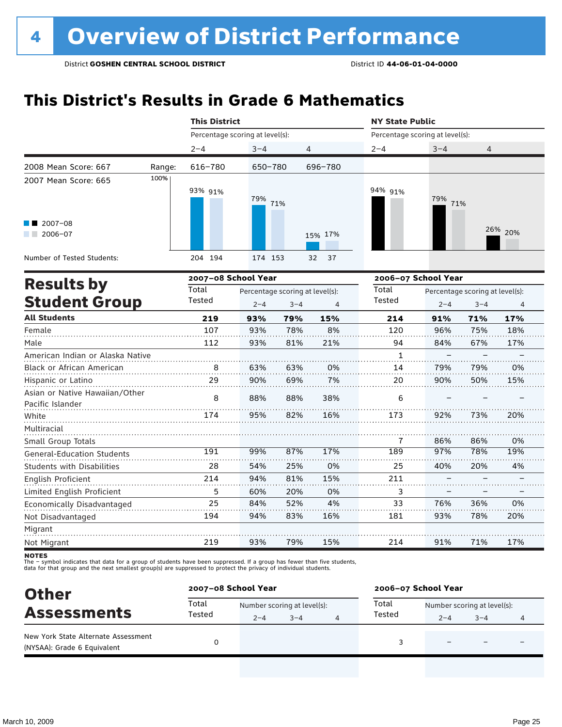### **This District's Results in Grade 6 Mathematics**

|                                                    |        | <b>This District</b>            |         |                                 |          |                                 | <b>NY State Public</b> |                                 |         |  |  |  |
|----------------------------------------------------|--------|---------------------------------|---------|---------------------------------|----------|---------------------------------|------------------------|---------------------------------|---------|--|--|--|
|                                                    |        | Percentage scoring at level(s): |         |                                 |          | Percentage scoring at level(s): |                        |                                 |         |  |  |  |
|                                                    |        | $2 - 4$                         | $3 - 4$ | 4                               |          | $2 - 4$                         | $3 - 4$                | 4                               |         |  |  |  |
| 2008 Mean Score: 667                               | Range: | 616-780                         | 650-780 |                                 | 696-780  |                                 |                        |                                 |         |  |  |  |
| 2007 Mean Score: 665                               | 100%   | 93% 91%                         | 79%     | 71%                             |          | 94% 91%                         | 79%<br>71%             |                                 |         |  |  |  |
| $2007 - 08$<br>2006-07                             |        |                                 |         |                                 | 15% 17%  |                                 |                        |                                 | 26% 20% |  |  |  |
| Number of Tested Students:                         |        | 204 194                         | 174 153 |                                 | 37<br>32 |                                 |                        |                                 |         |  |  |  |
| <b>Results by</b>                                  |        | 2007-08 School Year             |         |                                 |          | 2006-07 School Year             |                        |                                 |         |  |  |  |
|                                                    |        | Total                           |         | Percentage scoring at level(s): |          | Total                           |                        | Percentage scoring at level(s): |         |  |  |  |
| <b>Student Group</b>                               |        | Tested                          | $2 - 4$ | $3 - 4$                         | 4        | Tested                          | $2 - 4$                | $3 - 4$                         | 4       |  |  |  |
| <b>All Students</b>                                |        | 219                             | 93%     | 79%                             | 15%      | 214                             | 91%                    | 71%                             | 17%     |  |  |  |
| Female                                             |        | 107                             | 93%     | 78%                             | 8%       | 120                             | 96%                    | 75%                             | 18%     |  |  |  |
| Male                                               |        | 112                             | 93%     | 81%                             | 21%      | 94                              | 84%                    | 67%                             | 17%     |  |  |  |
| American Indian or Alaska Native                   |        |                                 |         |                                 |          | $\mathbf{1}$                    |                        |                                 |         |  |  |  |
| Black or African American                          |        | 8                               | 63%     | 63%                             | 0%       | 14                              | 79%                    | 79%                             | 0%      |  |  |  |
| Hispanic or Latino                                 |        | 29                              | 90%     | 69%                             | 7%       | 20                              | 90%                    | 50%                             | 15%     |  |  |  |
| Asian or Native Hawaiian/Other<br>Pacific Islander |        | 8                               | 88%     | 88%                             | 38%      | 6                               |                        |                                 |         |  |  |  |
| White                                              |        | 174                             | 95%     | 82%                             | 16%      | 173                             | 92%                    | 73%                             | 20%     |  |  |  |
| Multiracial                                        |        |                                 |         |                                 |          |                                 |                        |                                 |         |  |  |  |
| Small Group Totals                                 |        |                                 |         |                                 |          | 7                               | 86%                    | 86%                             | 0%      |  |  |  |
| <b>General-Education Students</b>                  |        | 191                             | 99%     | 87%                             | 17%      | 189                             | 97%                    | 78%                             | 19%     |  |  |  |

| <b>Other</b>                                                       | 2007-08 School Year |                                        |         | 2006-07 School Year |                 |                                        |         |   |  |
|--------------------------------------------------------------------|---------------------|----------------------------------------|---------|---------------------|-----------------|----------------------------------------|---------|---|--|
| <b>Assessments</b>                                                 | Total<br>Tested     | Number scoring at level(s):<br>$2 - 4$ | $3 - 4$ | 4                   | Total<br>Tested | Number scoring at level(s):<br>$2 - 4$ | $3 - 4$ | 4 |  |
| New York State Alternate Assessment<br>(NYSAA): Grade 6 Equivalent |                     |                                        |         |                     |                 | -                                      |         |   |  |

The – symbol indicates that data for a group of students have been suppressed. If a group has fewer than five students,<br>data for that group and the next smallest group(s) are suppressed to protect the privacy of individual

54% 94% 60% 84% 94%

25% 81% 20% 52% 83%

0% 15% 0% 4% 16%

40% – – 76% 93%

20%  $\overline{a}$ – 36% 78%

4% – – 0% 20%

17%

71%

91%

214

15%

79%

93%

219

Students with Disabilities

Limited English Proficient Economically Disadvantaged

English Proficient

Not Disadvantaged

Migrant Not Migrant **NOTES**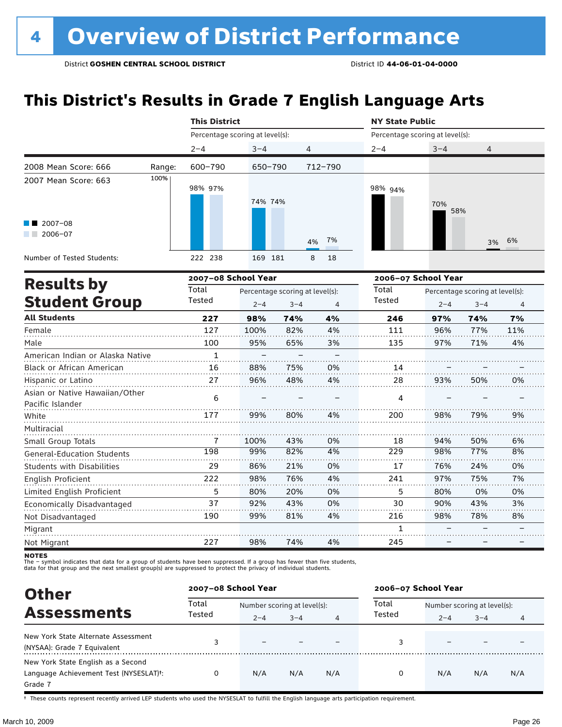### **This District's Results in Grade 7 English Language Arts**

|                                           |        | <b>This District</b>            |                                                       |                | <b>NY State Public</b> |                                            |              |  |  |
|-------------------------------------------|--------|---------------------------------|-------------------------------------------------------|----------------|------------------------|--------------------------------------------|--------------|--|--|
|                                           |        | Percentage scoring at level(s): |                                                       |                |                        | Percentage scoring at level(s):            |              |  |  |
|                                           |        | $2 - 4$                         | $3 - 4$                                               | 4              | $2 - 4$                | $3 - 4$                                    | 4            |  |  |
| 2008 Mean Score: 666                      | Range: | 600-790                         | 650-790                                               | 712-790        |                        |                                            |              |  |  |
| 2007 Mean Score: 663                      | 100%   | 98% 97%                         | 74% 74%                                               |                | 98% 94%                | 70%<br>58%                                 |              |  |  |
| $2007 - 08$<br>2006-07                    |        |                                 |                                                       | 4% 7%          |                        |                                            | 3% 6%        |  |  |
| Number of Tested Students:                |        | 222 238                         | 169<br>181                                            | 8<br>18        |                        |                                            |              |  |  |
|                                           |        | 2007-08 School Year             |                                                       |                |                        | 2006-07 School Year                        |              |  |  |
| <b>Results by</b><br><b>Student Group</b> |        | Total<br>Tested                 | Percentage scoring at level(s):<br>$2 - 4$<br>$3 - 4$ | $\overline{4}$ | Total<br>Tested        | Percentage scoring at level(s):<br>$2 - 4$ | $3 - 4$<br>4 |  |  |
|                                           |        |                                 |                                                       |                |                        |                                            |              |  |  |

|                                                    |     |      |     |    |     |     | J T |     |
|----------------------------------------------------|-----|------|-----|----|-----|-----|-----|-----|
| <b>All Students</b>                                | 227 | 98%  | 74% | 4% | 246 | 97% | 74% | 7%  |
| Female                                             | 127 | 100% | 82% | 4% | 111 | 96% | 77% | 11% |
| Male                                               | 100 | 95%  | 65% | 3% | 135 | 97% | 71% | 4%  |
| American Indian or Alaska Native                   | 1   |      |     |    |     |     |     |     |
| Black or African American                          | 16  | 88%  | 75% | 0% | 14  |     |     |     |
| Hispanic or Latino                                 | 27  | 96%  | 48% | 4% | 28  | 93% | 50% | 0%  |
| Asian or Native Hawaiian/Other<br>Pacific Islander | 6   |      |     |    | 4   |     |     |     |
| White                                              | 177 | 99%  | 80% | 4% | 200 | 98% | 79% | 9%  |
| Multiracial                                        |     |      |     |    |     |     |     |     |
| Small Group Totals                                 |     | 100% | 43% | 0% | 18  | 94% | 50% | 6%  |
| <b>General-Education Students</b>                  | 198 | 99%  | 82% | 4% | 229 | 98% | 77% | 8%  |
| Students with Disabilities                         | 29  | 86%  | 21% | 0% | 17  | 76% | 24% | 0%  |
| English Proficient                                 | 222 | 98%  | 76% | 4% | 241 | 97% | 75% | 7%  |
| Limited English Proficient                         | 5   | 80%  | 20% | 0% | 5   | 80% | 0%  | 0%  |
| Economically Disadvantaged                         | 37  | 92%  | 43% | 0% | 30  | 90% | 43% | 3%  |
| Not Disadvantaged                                  | 190 | 99%  | 81% | 4% | 216 | 98% | 78% | 8%  |
| Migrant                                            |     |      |     |    | 1   |     |     |     |
| Not Migrant                                        | 227 | 98%  | 74% | 4% | 245 |     |     |     |

**NOTES** 

The – symbol indicates that data for a group of students have been suppressed. If a group has fewer than five students,<br>data for that group and the next smallest group(s) are suppressed to protect the privacy of individual

| <b>Other</b>                                                                                         | 2007-08 School Year |                                        |         |     | 2006-07 School Year |                                                   |     |     |  |
|------------------------------------------------------------------------------------------------------|---------------------|----------------------------------------|---------|-----|---------------------|---------------------------------------------------|-----|-----|--|
| <b>Assessments</b>                                                                                   | Total<br>Tested     | Number scoring at level(s):<br>$2 - 4$ | $3 - 4$ | 4   | Total<br>Tested     | Number scoring at level(s):<br>$3 - 4$<br>$2 - 4$ |     |     |  |
| New York State Alternate Assessment<br>(NYSAA): Grade 7 Equivalent                                   |                     |                                        |         |     |                     |                                                   |     |     |  |
| New York State English as a Second<br>Language Achievement Test (NYSESLAT) <sup>+</sup> :<br>Grade 7 |                     | N/A                                    | N/A     | N/A | 0                   | N/A                                               | N/A | N/A |  |

† These counts represent recently arrived LEP students who used the NYSESLAT to fulfill the English language arts participation requirement.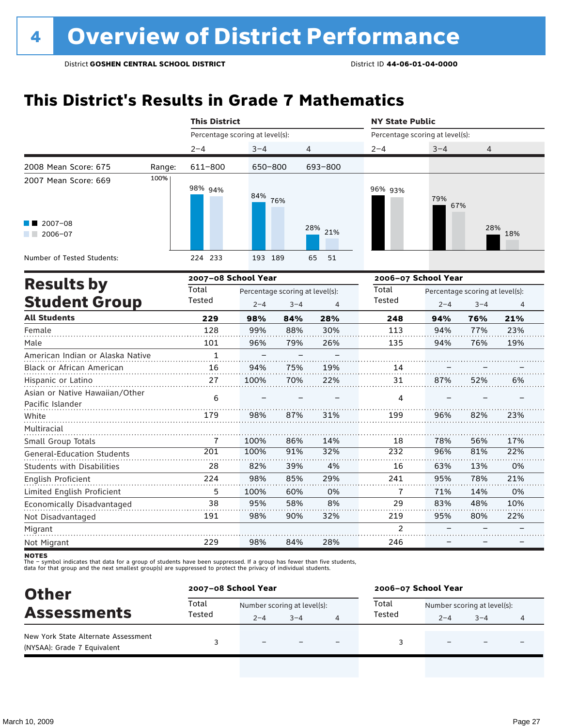### **This District's Results in Grade 7 Mathematics**

| Percentage scoring at level(s):<br>Percentage scoring at level(s):<br>$3 - 4$<br>$2 - 4$<br>$3 - 4$<br>4<br>$2 - 4$<br>4<br>611-800<br>650-800<br>693-800<br>Range:<br>100%<br>98% 94%<br>96% 93%<br>84% 76%<br>79%<br>67%<br>$2007 - 08$<br>28% 21%<br>28%<br>18%<br>$2006 - 07$<br>224 233<br>193 189<br>65<br>51<br>2007-08 School Year<br>2006-07 School Year<br><b>Results by</b><br>Total<br>Total<br>Percentage scoring at level(s):<br>Percentage scoring at level(s):<br><b>Student Group</b><br>Tested<br>Tested<br>$2 - 4$<br>$3 - 4$<br>$2 - 4$<br>4<br>$3 - 4$<br>$\overline{4}$<br><b>All Students</b><br>229<br>248<br>21%<br>98%<br>84%<br>28%<br>94%<br>76%<br>128<br>30%<br>88%<br>113<br>94%<br>23%<br>99%<br>77%<br>79%<br>26%<br>19%<br>101<br>96%<br>135<br>94%<br>76%<br>$\mathbf{1}$<br>American Indian or Alaska Native<br>16<br>75%<br>94%<br>19%<br>14<br>27<br>100%<br>22%<br>70%<br>31<br>87%<br>52%<br>6%<br>6<br>4<br>179<br>98%<br>87%<br>31%<br>199<br>96%<br>82%<br>23% |                                                    | <b>This District</b> |  |  |  |  |  |  | <b>NY State Public</b> |  |  |  |  |  |
|-----------------------------------------------------------------------------------------------------------------------------------------------------------------------------------------------------------------------------------------------------------------------------------------------------------------------------------------------------------------------------------------------------------------------------------------------------------------------------------------------------------------------------------------------------------------------------------------------------------------------------------------------------------------------------------------------------------------------------------------------------------------------------------------------------------------------------------------------------------------------------------------------------------------------------------------------------------------------------------------------------------|----------------------------------------------------|----------------------|--|--|--|--|--|--|------------------------|--|--|--|--|--|
|                                                                                                                                                                                                                                                                                                                                                                                                                                                                                                                                                                                                                                                                                                                                                                                                                                                                                                                                                                                                           |                                                    |                      |  |  |  |  |  |  |                        |  |  |  |  |  |
|                                                                                                                                                                                                                                                                                                                                                                                                                                                                                                                                                                                                                                                                                                                                                                                                                                                                                                                                                                                                           |                                                    |                      |  |  |  |  |  |  |                        |  |  |  |  |  |
|                                                                                                                                                                                                                                                                                                                                                                                                                                                                                                                                                                                                                                                                                                                                                                                                                                                                                                                                                                                                           | 2008 Mean Score: 675                               |                      |  |  |  |  |  |  |                        |  |  |  |  |  |
|                                                                                                                                                                                                                                                                                                                                                                                                                                                                                                                                                                                                                                                                                                                                                                                                                                                                                                                                                                                                           | 2007 Mean Score: 669                               |                      |  |  |  |  |  |  |                        |  |  |  |  |  |
|                                                                                                                                                                                                                                                                                                                                                                                                                                                                                                                                                                                                                                                                                                                                                                                                                                                                                                                                                                                                           |                                                    |                      |  |  |  |  |  |  |                        |  |  |  |  |  |
|                                                                                                                                                                                                                                                                                                                                                                                                                                                                                                                                                                                                                                                                                                                                                                                                                                                                                                                                                                                                           | Number of Tested Students:                         |                      |  |  |  |  |  |  |                        |  |  |  |  |  |
|                                                                                                                                                                                                                                                                                                                                                                                                                                                                                                                                                                                                                                                                                                                                                                                                                                                                                                                                                                                                           |                                                    |                      |  |  |  |  |  |  |                        |  |  |  |  |  |
|                                                                                                                                                                                                                                                                                                                                                                                                                                                                                                                                                                                                                                                                                                                                                                                                                                                                                                                                                                                                           |                                                    |                      |  |  |  |  |  |  |                        |  |  |  |  |  |
|                                                                                                                                                                                                                                                                                                                                                                                                                                                                                                                                                                                                                                                                                                                                                                                                                                                                                                                                                                                                           |                                                    |                      |  |  |  |  |  |  |                        |  |  |  |  |  |
|                                                                                                                                                                                                                                                                                                                                                                                                                                                                                                                                                                                                                                                                                                                                                                                                                                                                                                                                                                                                           |                                                    |                      |  |  |  |  |  |  |                        |  |  |  |  |  |
|                                                                                                                                                                                                                                                                                                                                                                                                                                                                                                                                                                                                                                                                                                                                                                                                                                                                                                                                                                                                           | Female                                             |                      |  |  |  |  |  |  |                        |  |  |  |  |  |
|                                                                                                                                                                                                                                                                                                                                                                                                                                                                                                                                                                                                                                                                                                                                                                                                                                                                                                                                                                                                           | Male                                               |                      |  |  |  |  |  |  |                        |  |  |  |  |  |
|                                                                                                                                                                                                                                                                                                                                                                                                                                                                                                                                                                                                                                                                                                                                                                                                                                                                                                                                                                                                           |                                                    |                      |  |  |  |  |  |  |                        |  |  |  |  |  |
|                                                                                                                                                                                                                                                                                                                                                                                                                                                                                                                                                                                                                                                                                                                                                                                                                                                                                                                                                                                                           | Black or African American                          |                      |  |  |  |  |  |  |                        |  |  |  |  |  |
|                                                                                                                                                                                                                                                                                                                                                                                                                                                                                                                                                                                                                                                                                                                                                                                                                                                                                                                                                                                                           | Hispanic or Latino                                 |                      |  |  |  |  |  |  |                        |  |  |  |  |  |
|                                                                                                                                                                                                                                                                                                                                                                                                                                                                                                                                                                                                                                                                                                                                                                                                                                                                                                                                                                                                           | Asian or Native Hawaiian/Other<br>Pacific Islander |                      |  |  |  |  |  |  |                        |  |  |  |  |  |
|                                                                                                                                                                                                                                                                                                                                                                                                                                                                                                                                                                                                                                                                                                                                                                                                                                                                                                                                                                                                           | White                                              |                      |  |  |  |  |  |  |                        |  |  |  |  |  |

| Small Group Totals                                                                                                                        |     | 100% | 86% | 14% | 18  | 78% | 56% | 17% |
|-------------------------------------------------------------------------------------------------------------------------------------------|-----|------|-----|-----|-----|-----|-----|-----|
| <b>General-Education Students</b>                                                                                                         | 201 | 100% | 91% | 32% | 232 | 96% | 81% | 22% |
| <b>Students with Disabilities</b>                                                                                                         | 28  | 82%  | 39% | 4%  | 16  | 63% | 13% | 0%  |
| English Proficient                                                                                                                        | 224 | 98%  | 85% | 29% | 241 | 95% | 78% | 21% |
| Limited English Proficient                                                                                                                | 5   | 100% | 60% | 0%  |     | 71% | 14% | 0%  |
| Economically Disadvantaged                                                                                                                | 38  | 95%  | 58% | 8%  | 29  | 83% | 48% | 10% |
| Not Disadvantaged                                                                                                                         | 191 | 98%  | 90% | 32% | 219 | 95% | 80% | 22% |
| Migrant                                                                                                                                   |     |      |     |     |     |     |     |     |
| Not Migrant                                                                                                                               | 229 | 98%  | 84% | 28% | 246 |     |     |     |
| <b>NOTES</b><br>The $-$ symbol indicates that data for a group of students have been suppressed. If a group has fewer than five students, |     |      |     |     |     |     |     |     |

The – symbot muicates that data for a group of students have been suppressed. In a group has fewer than five<br>data for that group and the next smallest group(s) are suppressed to protect the privacy of individual students.

| <b>Other</b>                                                       |                 | 2007-08 School Year         |         | 2006-07 School Year |                             |                          |  |  |
|--------------------------------------------------------------------|-----------------|-----------------------------|---------|---------------------|-----------------------------|--------------------------|--|--|
| <b>Assessments</b>                                                 | Total<br>Tested | Number scoring at level(s): |         | Total               | Number scoring at level(s): |                          |  |  |
|                                                                    |                 | $2 - 4$                     | $3 - 4$ | Tested              | $2 - 4$                     | $3 - 4$                  |  |  |
| New York State Alternate Assessment<br>(NYSAA): Grade 7 Equivalent |                 | -                           |         |                     |                             | $\overline{\phantom{0}}$ |  |  |

Multiracial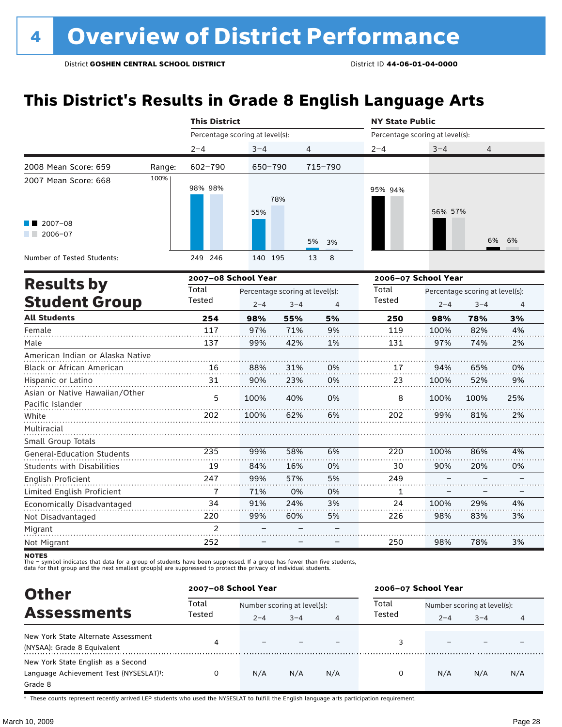### **This District's Results in Grade 8 English Language Arts**

|                                                    | <b>This District</b> |                                 |                                            |         | <b>NY State Public</b> |                                 |                                            |                |  |  |  |
|----------------------------------------------------|----------------------|---------------------------------|--------------------------------------------|---------|------------------------|---------------------------------|--------------------------------------------|----------------|--|--|--|
|                                                    |                      | Percentage scoring at level(s): |                                            |         |                        | Percentage scoring at level(s): |                                            |                |  |  |  |
|                                                    | $2 - 4$              | $3 - 4$                         | $\overline{4}$                             |         | $2 - 4$                | $3 - 4$                         | 4                                          |                |  |  |  |
| 2008 Mean Score: 659                               | 602-790<br>Range:    | 650-790                         |                                            | 715-790 |                        |                                 |                                            |                |  |  |  |
| 100%<br>2007 Mean Score: 668                       | 98% 98%              | 55%                             | 78%                                        |         | 95% 94%                | 56% 57%                         |                                            |                |  |  |  |
| $2007 - 08$<br>$2006 - 07$                         |                      |                                 | 5%                                         | 3%      |                        |                                 | 6%                                         | 6%             |  |  |  |
| Number of Tested Students:                         | 249 246              | 140 195                         | 13                                         | 8       |                        |                                 |                                            |                |  |  |  |
|                                                    |                      | 2007-08 School Year             |                                            |         | 2006-07 School Year    |                                 |                                            |                |  |  |  |
| <b>Results by</b><br><b>Student Group</b>          | Total<br>Tested      | $2 - 4$                         | Percentage scoring at level(s):<br>$3 - 4$ | 4       | Total<br>Tested        | $2 - 4$                         | Percentage scoring at level(s):<br>$3 - 4$ | $\overline{4}$ |  |  |  |
| <b>All Students</b>                                | 254                  | 98%                             | 55%                                        | 5%      | 250                    | 98%                             | 78%                                        | 3%             |  |  |  |
| Female                                             | 117                  | 97%                             | 71%                                        | 9%      | 119                    | 100%                            | 82%                                        | 4%             |  |  |  |
| Male                                               | 137                  | 99%                             | 42%                                        | 1%      | 131                    | 97%                             | 74%                                        | 2%             |  |  |  |
| American Indian or Alaska Native                   |                      |                                 |                                            |         |                        |                                 |                                            |                |  |  |  |
| <b>Black or African American</b>                   | 16                   | 88%                             | 31%                                        | 0%      | 17                     | 94%                             | 65%                                        | 0%             |  |  |  |
| Hispanic or Latino                                 | 31                   | 90%                             | 23%                                        | 0%      | 23                     | 100%                            | 52%                                        | 9%             |  |  |  |
| Asian or Native Hawaiian/Other<br>Pacific Islander | 5                    | 100%                            | 40%                                        | 0%      | 8                      | 100%                            | 100%                                       | 25%            |  |  |  |
| White                                              | 202                  | 100%                            | 62%                                        | 6%      | 202                    | 99%                             | 81%                                        | 2%             |  |  |  |
| Multiracial<br>Small Group Totals                  |                      |                                 |                                            |         |                        |                                 |                                            |                |  |  |  |
| <b>General-Education Students</b>                  | 235                  | 99%                             | 58%                                        | 6%      | 220                    | 100%                            | 86%                                        | 4%             |  |  |  |
| <b>Students with Disabilities</b>                  | 19                   | 84%                             | 16%                                        | 0%      | 30                     | 90%                             | 20%                                        | 0%             |  |  |  |
| English Proficient                                 | 247                  | 99%                             | 57%                                        | 5%      | 249                    |                                 |                                            |                |  |  |  |
| Limited English Proficient                         | $\overline{1}$       | 71%                             | 0%                                         | 0%      | $\mathbf{1}$           |                                 |                                            |                |  |  |  |
| Economically Disadvantaged                         | 34                   | 91%                             | 24%                                        | 3%      | 24                     | 100%                            | 29%                                        | 4%             |  |  |  |
| Not Disadvantaged                                  | 220                  | 99%                             | 60%                                        | 5%      | 226                    | 98%                             | 83%                                        | 3%             |  |  |  |
| Migrant                                            | $\mathfrak{p}$       |                                 |                                            |         |                        |                                 |                                            |                |  |  |  |
| Not Migrant                                        | 252                  |                                 |                                            |         | 250                    | 98%                             | 78%                                        | 3%             |  |  |  |

**NOTES** 

The – symbol indicates that data for a group of students have been suppressed. If a group has fewer than five students,<br>data for that group and the next smallest group(s) are suppressed to protect the privacy of individual

| <b>Other</b>                                                                            |        | 2007-08 School Year         |         |     |        | 2006-07 School Year         |         |     |  |  |
|-----------------------------------------------------------------------------------------|--------|-----------------------------|---------|-----|--------|-----------------------------|---------|-----|--|--|
| <b>Assessments</b>                                                                      | Total  | Number scoring at level(s): |         |     | Total  | Number scoring at level(s): |         |     |  |  |
|                                                                                         | Tested | $2 - 4$                     | $3 - 4$ | 4   | Tested | $2 - 4$                     | $3 - 4$ |     |  |  |
| New York State Alternate Assessment<br>(NYSAA): Grade 8 Equivalent                      | 4      | $\overline{\phantom{0}}$    |         |     |        |                             |         |     |  |  |
| New York State English as a Second<br>Language Achievement Test (NYSESLAT)t:<br>Grade 8 | 0      | N/A                         | N/A     | N/A | 0      | N/A                         | N/A     | N/A |  |  |

† These counts represent recently arrived LEP students who used the NYSESLAT to fulfill the English language arts participation requirement.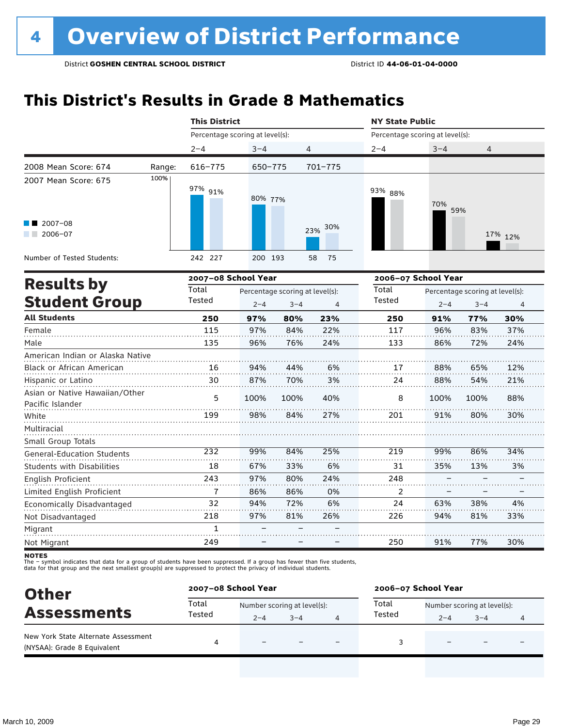### **This District's Results in Grade 8 Mathematics**

|                                                    | <b>This District</b>            |                                                            |                |                 | <b>NY State Public</b>                                |            |      |         |  |  |
|----------------------------------------------------|---------------------------------|------------------------------------------------------------|----------------|-----------------|-------------------------------------------------------|------------|------|---------|--|--|
|                                                    | Percentage scoring at level(s): |                                                            |                |                 | Percentage scoring at level(s):                       |            |      |         |  |  |
|                                                    | $2 - 4$                         | $3 - 4$                                                    | $\overline{4}$ |                 | $2 - 4$                                               | $3 - 4$    | 4    |         |  |  |
| 2008 Mean Score: 674<br>Range:                     | 616-775                         | 650-775                                                    |                | 701-775         |                                                       |            |      |         |  |  |
| 100%<br>2007 Mean Score: 675                       | 97% 91%                         | 80% 77%                                                    |                |                 | 93% 88%                                               | 70%<br>59% |      |         |  |  |
| 2007-08<br>$2006 - 07$                             |                                 |                                                            |                | 30%<br>23%      |                                                       |            |      | 17% 12% |  |  |
| Number of Tested Students:                         | 242 227                         | 200 193                                                    |                | 58<br>75        |                                                       |            |      |         |  |  |
| <b>Results by</b>                                  | 2007-08 School Year             |                                                            |                |                 | 2006-07 School Year                                   |            |      |         |  |  |
| <b>Student Group</b>                               | Total<br>Tested                 | Percentage scoring at level(s):<br>$2 - 4$<br>$3 - 4$<br>4 |                | Total<br>Tested | Percentage scoring at level(s):<br>$2 - 4$<br>$3 - 4$ |            | 4    |         |  |  |
| <b>All Students</b>                                | 250                             | 97%                                                        | 80%            | 23%             | 250                                                   | 91%        | 77%  | 30%     |  |  |
| Female                                             | 115                             | 97%                                                        | 84%            | 22%             | 117                                                   | 96%        | 83%  | 37%     |  |  |
| Male                                               | 135                             | 96%                                                        | 76%            | 24%             | 133                                                   | 86%        | 72%  | 24%     |  |  |
| American Indian or Alaska Native                   |                                 |                                                            |                |                 |                                                       |            |      |         |  |  |
| Black or African American                          | 16                              | 94%                                                        | 44%            | 6%              | 17                                                    | 88%        | 65%  | 12%     |  |  |
| Hispanic or Latino                                 | 30                              | 87%                                                        | 70%            | 3%              | 24                                                    | 88%        | 54%  | 21%     |  |  |
| Asian or Native Hawaiian/Other<br>Pacific Islander | 5                               | 100%                                                       | 100%           | 40%             | 8                                                     | 100%       | 100% | 88%     |  |  |
| White                                              | 199                             | 98%                                                        | 84%            | 27%             | 201                                                   | 91%        | 80%  | 30%     |  |  |
| Multiracial<br>Small Group Totals                  |                                 |                                                            |                |                 |                                                       |            |      |         |  |  |
| <b>General-Education Students</b>                  | 232                             | 99%                                                        | 84%            | 25%             | 219                                                   | 99%        | 86%  | 34%     |  |  |
| <b>Students with Disabilities</b>                  | 18                              | 67%                                                        | 33%            | 6%              | 31                                                    | 35%        | 13%  | 3%      |  |  |
| English Proficient                                 | 243                             | 97%                                                        | 80%            | 24%             | 248                                                   |            |      |         |  |  |
| Limited English Proficient                         | 7                               | 86%                                                        | 86%            | 0%              | 2                                                     |            |      |         |  |  |
| Economically Disadvantaged                         | 32                              | 94%                                                        | 72%            | 6%              | 24                                                    | 63%        | 38%  | 4%      |  |  |
| Not Disadvantaged                                  | 218                             | 97%                                                        | 81%            | 26%             | 226                                                   | 94%        | 81%  | 33%     |  |  |
| Migrant                                            | 1                               |                                                            |                |                 |                                                       |            |      |         |  |  |
| Not Migrant                                        | 249                             |                                                            |                |                 | 250                                                   | 91%        | 77%  | 30%     |  |  |

**NOTES** 

The – symbol indicates that data for a group of students have been suppressed. If a group has fewer than five students,<br>data for that group and the next smallest group(s) are suppressed to protect the privacy of individual

| <b>Other</b><br><b>Assessments</b>                                 | 2007-08 School Year |                             |         |  | 2006-07 School Year |                             |         |   |  |
|--------------------------------------------------------------------|---------------------|-----------------------------|---------|--|---------------------|-----------------------------|---------|---|--|
|                                                                    | Total               | Number scoring at level(s): |         |  | Total               | Number scoring at level(s): |         |   |  |
|                                                                    | Tested              | $2 - 4$                     | $3 - 4$ |  | Tested              | $2 - 4$                     | $3 - 4$ | 4 |  |
| New York State Alternate Assessment<br>(NYSAA): Grade 8 Equivalent | 4                   | $\overline{\phantom{0}}$    |         |  |                     |                             |         |   |  |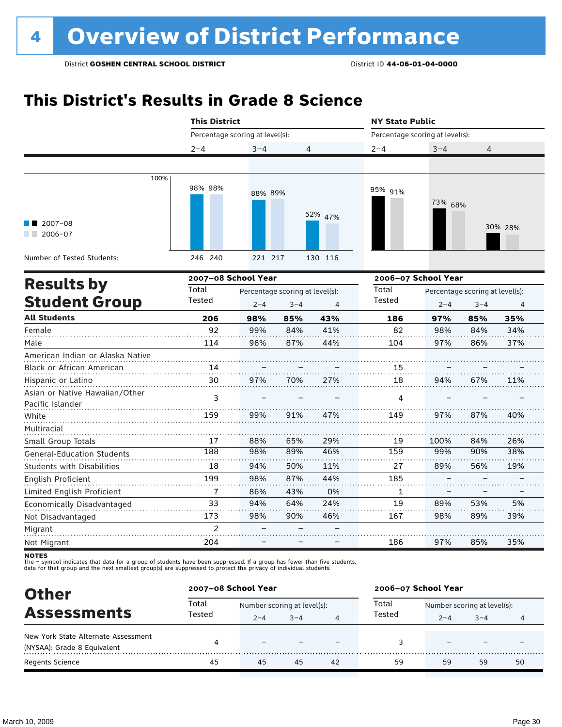### **This District's Results in Grade 8 Science**

|                                                    |                                 | <b>This District</b>                                                    |     |         |                                 | <b>NY State Public</b> |                                            |                |  |  |
|----------------------------------------------------|---------------------------------|-------------------------------------------------------------------------|-----|---------|---------------------------------|------------------------|--------------------------------------------|----------------|--|--|
|                                                    | Percentage scoring at level(s): |                                                                         |     |         | Percentage scoring at level(s): |                        |                                            |                |  |  |
|                                                    | $2 - 4$                         | $3 - 4$                                                                 | 4   |         | $2 - 4$                         | $3 - 4$                | 4                                          |                |  |  |
|                                                    |                                 |                                                                         |     |         |                                 |                        |                                            |                |  |  |
| 100%                                               | 98% 98%                         | 88% 89%                                                                 |     |         | 95% 91%                         | 73% 68%                |                                            |                |  |  |
| 2007-08<br>$2006 - 07$                             |                                 |                                                                         |     | 52% 47% |                                 |                        |                                            | 30% 28%        |  |  |
| Number of Tested Students:                         | 246 240                         | 221 217                                                                 |     | 130 116 |                                 |                        |                                            |                |  |  |
|                                                    | 2007-08 School Year             |                                                                         |     |         | 2006-07 School Year             |                        |                                            |                |  |  |
| <b>Results by</b><br><b>Student Group</b>          | Total<br>Tested                 | Percentage scoring at level(s):<br>$2 - 4$<br>$3 - 4$<br>$\overline{4}$ |     |         | Total<br>Tested                 | $2 - 4$                | Percentage scoring at level(s):<br>$3 - 4$ | $\overline{4}$ |  |  |
| <b>All Students</b>                                | 206                             | 98%                                                                     | 85% | 43%     | 186                             | 97%                    | 85%                                        | 35%            |  |  |
| Female                                             | 92                              | 99%                                                                     | 84% | 41%     | 82                              | 98%                    | 84%                                        | 34%            |  |  |
| Male                                               | 114                             | 96%                                                                     | 87% | 44%     | 104                             | 97%                    | 86%                                        | 37%            |  |  |
| American Indian or Alaska Native                   |                                 |                                                                         |     |         |                                 |                        |                                            |                |  |  |
| Black or African American                          | 14                              |                                                                         |     |         | 15                              |                        |                                            |                |  |  |
| Hispanic or Latino                                 | 30                              | 97%                                                                     | 70% | 27%     | 18                              | 94%                    | 67%                                        | 11%            |  |  |
| Asian or Native Hawaiian/Other<br>Pacific Islander | 3                               |                                                                         |     |         | 4                               |                        |                                            |                |  |  |
| White                                              | 159                             | 99%                                                                     | 91% | 47%     | 149                             | 97%                    | 87%                                        | 40%            |  |  |
| Multiracial<br>Small Group Totals                  | 17                              | 88%                                                                     | 65% | 29%     | 19                              | 100%                   | 84%                                        | 26%            |  |  |
| <b>General-Education Students</b>                  | 188                             | 98%                                                                     | 89% | 46%     | 159                             | 99%                    | 90%                                        | 38%            |  |  |
| <b>Students with Disabilities</b>                  | 18                              | 94%                                                                     | 50% | 11%     | 27                              | 89%                    | 56%                                        | 19%            |  |  |
| English Proficient                                 | 199                             | 98%                                                                     | 87% | 44%     | 185                             |                        |                                            |                |  |  |
| Limited English Proficient                         | $\overline{7}$                  | 86%                                                                     | 43% | 0%      | 1                               |                        |                                            |                |  |  |
| Economically Disadvantaged                         | 33                              | 94%                                                                     | 64% | 24%     | 19                              | 89%                    | 53%                                        | 5%             |  |  |
| Not Disadvantaged                                  | 173                             | 98%                                                                     | 90% | 46%     | 167                             | 98%                    | 89%                                        | 39%            |  |  |
| Migrant                                            | $\mathfrak{p}$                  |                                                                         |     |         |                                 |                        |                                            |                |  |  |
| Not Migrant                                        | 204                             |                                                                         |     |         | 186                             | 97%                    | 85%                                        | 35%            |  |  |

**NOTES** 

The – symbol indicates that data for a group of students have been suppressed. If a group has fewer than five students,<br>data for that group and the next smallest group(s) are suppressed to protect the privacy of individual

| <b>Other</b>                        |                 | 2007-08 School Year |                             |    | 2006-07 School Year |                             |         |    |  |
|-------------------------------------|-----------------|---------------------|-----------------------------|----|---------------------|-----------------------------|---------|----|--|
| <b>Assessments</b>                  | Total<br>Tested |                     | Number scoring at level(s): |    |                     | Number scoring at level(s): |         |    |  |
|                                     |                 | $2 - 4$             | $3 - 4$                     | 4  | Tested              | $2 - 4$                     | $3 - 4$ | 4  |  |
| New York State Alternate Assessment | 4               |                     |                             |    |                     |                             |         |    |  |
| (NYSAA): Grade 8 Equivalent         |                 |                     |                             |    |                     |                             |         |    |  |
| <b>Regents Science</b>              | 45              | 45                  | 45                          | 42 | 59                  | 59                          | 59      | 50 |  |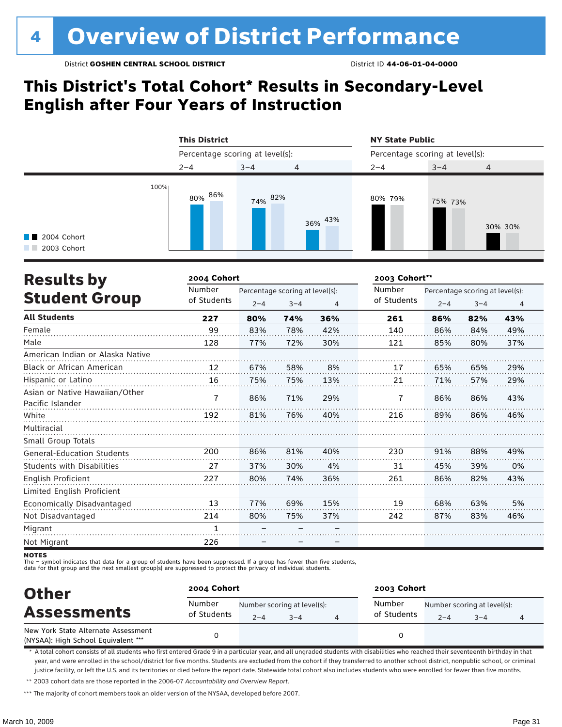### **This District's Total Cohort\* Results in Secondary-Level English after Four Years of Instruction**

|                                             | <b>This District</b>            |         |                | <b>NY State Public</b><br>Percentage scoring at level(s): |         |         |  |
|---------------------------------------------|---------------------------------|---------|----------------|-----------------------------------------------------------|---------|---------|--|
|                                             | Percentage scoring at level(s): |         |                |                                                           |         |         |  |
|                                             | $2 - 4$                         | $3 - 4$ | $\overline{4}$ | $2 - 4$                                                   | $3 - 4$ | 4       |  |
| 100%<br><b>1</b> 2004 Cohort<br>2003 Cohort | 80% 86%                         | 74% 82% | 36% 43%        | 80% 79%                                                   | 75% 73% | 30% 30% |  |

| <b>Results by</b>                 | 2004 Cohort |         |                                 |     | 2003 Cohort** |         |                                 |     |
|-----------------------------------|-------------|---------|---------------------------------|-----|---------------|---------|---------------------------------|-----|
|                                   | Number      |         | Percentage scoring at level(s): |     | Number        |         | Percentage scoring at level(s): |     |
| <b>Student Group</b>              | of Students | $2 - 4$ | $3 - 4$                         | 4   | of Students   | $2 - 4$ | $3 - 4$                         | 4   |
| <b>All Students</b>               | 227         | 80%     | 74%                             | 36% | 261           | 86%     | 82%                             | 43% |
| Female                            | 99          | 83%     | 78%                             | 42% | 140           | 86%     | 84%                             | 49% |
| Male                              | 128         | 77%     | 72%                             | 30% | 121           | 85%     | 80%                             | 37% |
| American Indian or Alaska Native  |             |         |                                 |     |               |         |                                 |     |
| <b>Black or African American</b>  | 12          | 67%     | 58%                             | 8%  | 17            | 65%     | 65%                             | 29% |
| Hispanic or Latino                | 16          | 75%     | 75%                             | 13% | 21            | 71%     | 57%                             | 29% |
| Asian or Native Hawaiian/Other    | 7           | 86%     | 71%                             | 29% | 7             | 86%     | 86%                             | 43% |
| Pacific Islander                  |             |         |                                 |     |               |         |                                 |     |
| White                             | 192         | 81%     | 76%                             | 40% | 216           | 89%     | 86%                             | 46% |
| Multiracial                       |             |         |                                 |     |               |         |                                 |     |
| Small Group Totals                |             |         |                                 |     |               |         |                                 |     |
| <b>General-Education Students</b> | 200         | 86%     | 81%                             | 40% | 230           | 91%     | 88%                             | 49% |
| <b>Students with Disabilities</b> | 27          | 37%     | 30%                             | 4%  | 31            | 45%     | 39%                             | 0%  |
| English Proficient                | 227         | 80%     | 74%                             | 36% | 261           | 86%     | 82%                             | 43% |
| Limited English Proficient        |             |         |                                 |     |               |         |                                 |     |
| Economically Disadvantaged        | 13          | 77%     | 69%                             | 15% | 19            | 68%     | 63%                             | 5%  |
| Not Disadvantaged                 | 214         | 80%     | 75%                             | 37% | 242           | 87%     | 83%                             | 46% |
| Migrant                           | 1           |         |                                 |     |               |         |                                 |     |
| Not Migrant                       | 226         |         |                                 |     |               |         |                                 |     |

**NOTES** 

The – symbol indicates that data for a group of students have been suppressed. If a group has fewer than five students,

data for that group and the next smallest group(s) are suppressed to protect the privacy of individual students.

| <b>Other</b><br><b>Assessments</b>                                         | 2004 Cohort           |         |                                        | 2003 Cohort           |         |                                        |   |  |  |
|----------------------------------------------------------------------------|-----------------------|---------|----------------------------------------|-----------------------|---------|----------------------------------------|---|--|--|
|                                                                            | Number<br>of Students | $2 - 4$ | Number scoring at level(s):<br>$3 - 4$ | Number<br>of Students | $2 - 4$ | Number scoring at level(s):<br>$3 - 4$ | 4 |  |  |
| New York State Alternate Assessment<br>(NYSAA): High School Equivalent *** |                       |         |                                        |                       |         |                                        |   |  |  |

\* A total cohort consists of all students who first entered Grade 9 in a particular year, and all ungraded students with disabilities who reached their seventeenth birthday in that year, and were enrolled in the school/district for five months. Students are excluded from the cohort if they transferred to another school district, nonpublic school, or criminal justice facility, or left the U.S. and its territories or died before the report date. Statewide total cohort also includes students who were enrolled for fewer than five months.

\*\* 2003 cohort data are those reported in the 2006-07 *Accountability and Overview Report*.

\*\*\* The majority of cohort members took an older version of the NYSAA, developed before 2007.